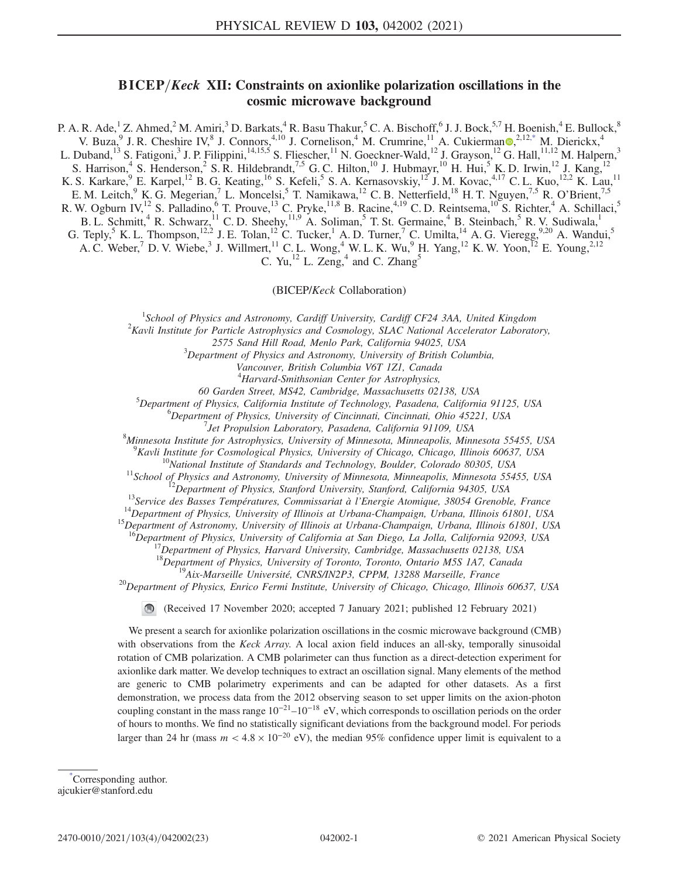# $BICEP/Keck$  XII: Constraints on axionlike polarization oscillations in the cosmic microwave background

<span id="page-0-1"></span>P. A. R. Ade,<sup>1</sup> Z. Ahmed,<sup>2</sup> M. Amiri,<sup>3</sup> D. Barkats,<sup>4</sup> R. Basu Thakur,<sup>5</sup> C. A. Bischoff,<sup>6</sup> J. J. Bock,<sup>5,7</sup> H. Boenish,<sup>4</sup> E. Bullock,<sup>8</sup> V. Buza, <sup>9</sup> J. R. Cheshire IV, <sup>8</sup> J. Connors, <sup>4,10</sup> J. Cornelison, <sup>4</sup> M. Crumrine, <sup>11</sup> A. Cukierman  $\bullet$ , <sup>2,12[,\\*](#page-0-0)</sup> M. Dierickx, <sup>4</sup> L. Duband,<sup>13</sup> S. Fatigoni,<sup>3</sup> J. P. Filippini,<sup>14,15,5</sup> S. Fliescher,<sup>11</sup> N. Goeckner-Wald,<sup>12</sup> J. Grayson,<sup>12</sup> G. Hall,<sup>11,12</sup> M. Halpern,<sup>3</sup> S. Harrison,<sup>4</sup> S. Henderson,<sup>2</sup> S. R. Hildebrandt,<sup>7,5</sup> G. C. Hilton,<sup>10</sup> J. Hubmayr,<sup>10</sup> H. Hui,<sup>5</sup> K. D. Irwin,<sup>12</sup> J. Kang,<sup>12</sup> K. S. Karkare, <sup>9</sup> E. Karpel, <sup>12</sup> B. G. Keating, <sup>16</sup> S. Kefeli, <sup>5</sup> S. A. Kernasovskiy, <sup>12</sup> J. M. Kovac, <sup>4,17</sup> C. L. Kuo, <sup>12,2</sup> K. Lau, <sup>11</sup> E. M. Leitch, K. G. Megerian, L. Moncelsi, T. Namikawa, <sup>12</sup> C. B. Netterfield, <sup>18</sup> H. T. Nguyen, <sup>7,5</sup> R. O'Brient, <sup>7,5</sup> R. W. Ogburn IV,<sup>12</sup> S. Palladino,<sup>6</sup> T. Prouve,<sup>13</sup> C. Pryke,<sup>11,8</sup> B. Racine,<sup>4,19</sup> C. D. Reintsema,<sup>10</sup> S. Richter,<sup>4</sup> A. Schillaci,<sup>5</sup> B. L. Schmitt,<sup>4</sup> R. Schwarz,<sup>11</sup> C. D. Sheehy,<sup>11,9</sup> A. Soliman,<sup>5</sup> T. St. Germaine,<sup>4</sup> B. Steinbach,<sup>5</sup> R. V. Sudiwala,<sup>1</sup> G. Teply,  $^5$  K. L. Thompson,<sup>12,2</sup> J. E. Tolan,<sup>12</sup> C. Tucker, <sup>1</sup> A. D. Turner, <sup>7</sup> C. Umilta, <sup>14</sup> A. G. Vieregg,  $^{9,20}$  A. Wandui, <sup>5</sup>

A. C. Weber,<sup>7</sup> D. V. Wiebe,<sup>3</sup> J. Willmert,<sup>11</sup> C. L. Wong,<sup>4</sup> W. L. K. Wu,<sup>9</sup> H. Yang,<sup>12</sup> K. W. Yoon,<sup>12</sup> E. Young,<sup>2,12</sup>

C. Yu,<sup>12</sup> L. Zeng,<sup>4</sup> and C. Zhang<sup>5</sup>

(BICEP/Keck Collaboration)

<sup>1</sup>School of Physics and Astronomy, Cardiff University, Cardiff CF24 3AA, United Kingdom<br><sup>2</sup>Kayli Institute for Particle Astronomysies and Cosmology, SLAC National Accelerator Laborator

 ${}^{2}$ Kavli Institute for Particle Astrophysics and Cosmology, SLAC National Accelerator Laboratory,

2575 Sand Hill Road, Menlo Park, California 94025, USA <sup>3</sup>

 $3$ Department of Physics and Astronomy, University of British Columbia,

Vancouver, British Columbia V6T 1Z1, Canada

<sup>4</sup>Harvard-Smithsonian Center for Astrophysics,

60 Garden Street, MS42, Cambridge, Massachusetts 02138, USA <sup>5</sup>

 $^5$ Department of Physics, California Institute of Technology, Pasadena, California 91125, USA

 ${}^{6}$ Department of Physics, University of Cincinnati, Cincinnati, Ohio 45221, USA

 $^{7}$ Jet Propulsion Laboratory, Pasadena, California 91109, USA

Minnesota Institute for Astrophysics, University of Minnesota, Minneapolis, Minnesota 55455, USA

 ${}^{9}$ Kavli Institute for Cosmological Physics, University of Chicago, Chicago, Illinois 60637, USA

<sup>10</sup>National Institute of Standards and Technology, Boulder, Colorado 80305, USA<br><sup>11</sup>School of Physics and Astronomy, University of Minnesota, Minneapolis, Minnesota 55455, USA<br><sup>12</sup>Department of Physics, Stanford Universi

<sup>16</sup>Department of Physics, University of California at San Diego, La Jolla, California 92093, USA<br><sup>17</sup>Department of Physics, Harvard University, Cambridge, Massachusetts 02138, USA<br><sup>18</sup>Department of Physics, University of

<sup>19</sup>Aix-Marseille Université, CNRS/IN2P3, CPPM, 13288 Marseille, France<br><sup>20</sup>Department of Physics, Enrico Fermi Institute, University of Chicago, Chicago, Illinois 60637, USA

(Received 17 November 2020; accepted 7 January 2021; published 12 February 2021)

We present a search for axionlike polarization oscillations in the cosmic microwave background (CMB) with observations from the Keck Array. A local axion field induces an all-sky, temporally sinusoidal rotation of CMB polarization. A CMB polarimeter can thus function as a direct-detection experiment for axionlike dark matter. We develop techniques to extract an oscillation signal. Many elements of the method are generic to CMB polarimetry experiments and can be adapted for other datasets. As a first demonstration, we process data from the 2012 observing season to set upper limits on the axion-photon coupling constant in the mass range  $10^{-21}-10^{-18}$  eV, which corresponds to oscillation periods on the order of hours to months. We find no statistically significant deviations from the background model. For periods larger than 24 hr (mass  $m < 4.8 \times 10^{-20}$  eV), the median 95% confidence upper limit is equivalent to a

<span id="page-0-0"></span>[\\*](#page-0-1) Corresponding author. ajcukier@stanford.edu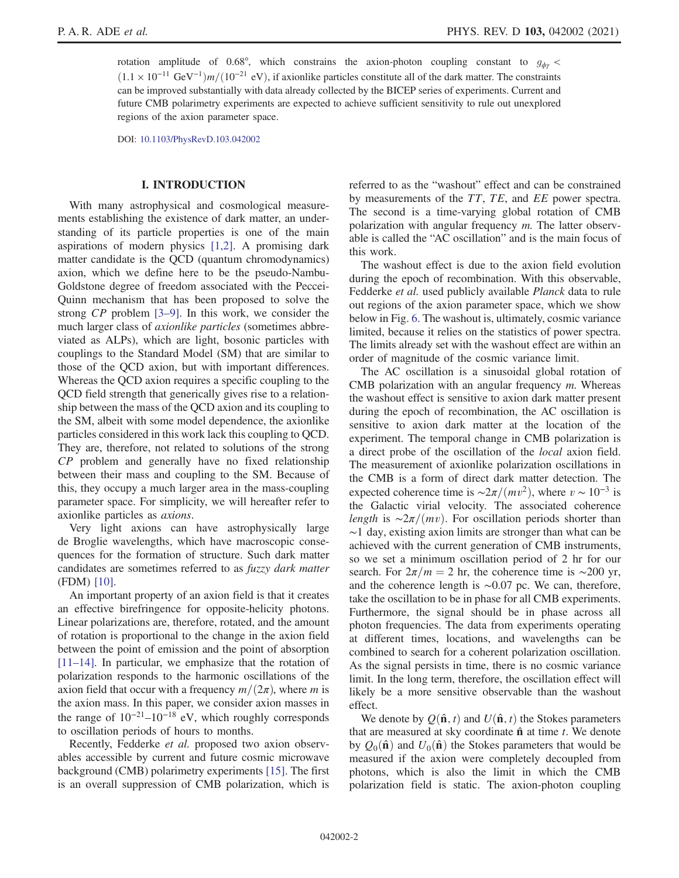rotation amplitude of 0.68°, which constrains the axion-photon coupling constant to  $g_{\phi\phi}$  <  $(1.1 \times 10^{-11} \text{ GeV}^{-1})m/(10^{-21} \text{ eV})$ , if axionlike particles constitute all of the dark matter. The constraints can be improved substantially with data already collected by the BICEP series of experiments. Current and future CMB polarimetry experiments are expected to achieve sufficient sensitivity to rule out unexplored regions of the axion parameter space.

DOI: [10.1103/PhysRevD.103.042002](https://doi.org/10.1103/PhysRevD.103.042002)

### I. INTRODUCTION

<span id="page-1-0"></span>With many astrophysical and cosmological measurements establishing the existence of dark matter, an understanding of its particle properties is one of the main aspirations of modern physics [\[1,2\]](#page-21-0). A promising dark matter candidate is the QCD (quantum chromodynamics) axion, which we define here to be the pseudo-Nambu-Goldstone degree of freedom associated with the Peccei-Quinn mechanism that has been proposed to solve the strong CP problem [3–[9\].](#page-21-1) In this work, we consider the much larger class of axionlike particles (sometimes abbreviated as ALPs), which are light, bosonic particles with couplings to the Standard Model (SM) that are similar to those of the QCD axion, but with important differences. Whereas the QCD axion requires a specific coupling to the QCD field strength that generically gives rise to a relationship between the mass of the QCD axion and its coupling to the SM, albeit with some model dependence, the axionlike particles considered in this work lack this coupling to QCD. They are, therefore, not related to solutions of the strong CP problem and generally have no fixed relationship between their mass and coupling to the SM. Because of this, they occupy a much larger area in the mass-coupling parameter space. For simplicity, we will hereafter refer to axionlike particles as axions.

Very light axions can have astrophysically large de Broglie wavelengths, which have macroscopic consequences for the formation of structure. Such dark matter candidates are sometimes referred to as fuzzy dark matter (FDM) [\[10\]](#page-21-2).

An important property of an axion field is that it creates an effective birefringence for opposite-helicity photons. Linear polarizations are, therefore, rotated, and the amount of rotation is proportional to the change in the axion field between the point of emission and the point of absorption [\[11](#page-21-3)–14]. In particular, we emphasize that the rotation of polarization responds to the harmonic oscillations of the axion field that occur with a frequency  $m/(2\pi)$ , where m is the axion mass. In this paper, we consider axion masses in the range of  $10^{-21}$ – $10^{-18}$  eV, which roughly corresponds to oscillation periods of hours to months.

Recently, Fedderke et al. proposed two axion observables accessible by current and future cosmic microwave background (CMB) polarimetry experiments [\[15\]](#page-21-4). The first is an overall suppression of CMB polarization, which is referred to as the "washout" effect and can be constrained by measurements of the TT, TE, and EE power spectra. The second is a time-varying global rotation of CMB polarization with angular frequency m. The latter observable is called the "AC oscillation" and is the main focus of this work.

The washout effect is due to the axion field evolution during the epoch of recombination. With this observable, Fedderke et al. used publicly available Planck data to rule out regions of the axion parameter space, which we show below in Fig. [6](#page-19-0). The washout is, ultimately, cosmic variance limited, because it relies on the statistics of power spectra. The limits already set with the washout effect are within an order of magnitude of the cosmic variance limit.

The AC oscillation is a sinusoidal global rotation of CMB polarization with an angular frequency m. Whereas the washout effect is sensitive to axion dark matter present during the epoch of recombination, the AC oscillation is sensitive to axion dark matter at the location of the experiment. The temporal change in CMB polarization is a direct probe of the oscillation of the local axion field. The measurement of axionlike polarization oscillations in the CMB is a form of direct dark matter detection. The expected coherence time is  $\sim 2\pi/(mv^2)$ , where  $v \sim 10^{-3}$  is the Galactic virial velocity. The associated coherence length is  $\sim 2\pi/(mv)$ . For oscillation periods shorter than ∼1 day, existing axion limits are stronger than what can be achieved with the current generation of CMB instruments, so we set a minimum oscillation period of 2 hr for our search. For  $2\pi/m = 2$  hr, the coherence time is ∼200 yr, and the coherence length is ∼0.07 pc. We can, therefore, take the oscillation to be in phase for all CMB experiments. Furthermore, the signal should be in phase across all photon frequencies. The data from experiments operating at different times, locations, and wavelengths can be combined to search for a coherent polarization oscillation. As the signal persists in time, there is no cosmic variance limit. In the long term, therefore, the oscillation effect will likely be a more sensitive observable than the washout effect.

We denote by  $Q(\hat{\mathbf{n}}, t)$  and  $U(\hat{\mathbf{n}}, t)$  the Stokes parameters that are measured at sky coordinate  $\hat{\mathbf{n}}$  at time t. We denote by  $Q_0(\hat{\bf n})$  and  $U_0(\hat{\bf n})$  the Stokes parameters that would be measured if the axion were completely decoupled from photons, which is also the limit in which the CMB polarization field is static. The axion-photon coupling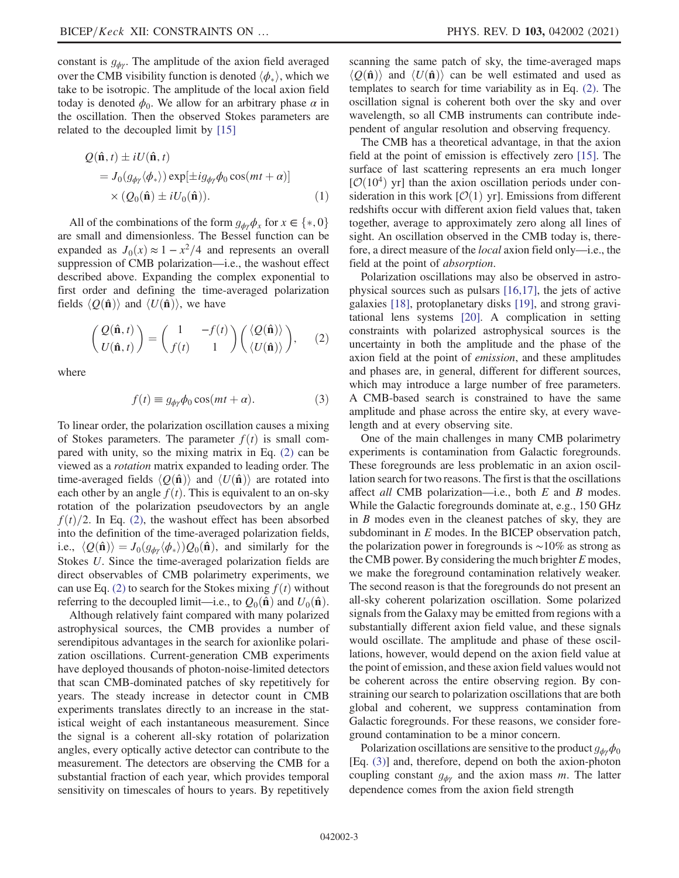constant is  $g_{\phi\gamma}$ . The amplitude of the axion field averaged over the CMB visibility function is denoted  $\langle \phi_* \rangle$ , which we take to be isotropic. The amplitude of the local axion field take to be isotropic. The amplitude of the local axion field today is denoted  $\phi_0$ . We allow for an arbitrary phase  $\alpha$  in the oscillation. Then the observed Stokes parameters are related to the decoupled limit by [\[15\]](#page-21-4)

$$
Q(\hat{\mathbf{n}}, t) \pm iU(\hat{\mathbf{n}}, t)
$$
  
=  $J_0(g_{\phi\gamma}\langle\phi_*\rangle) \exp[\pm ig_{\phi\gamma}\phi_0 \cos(mt + \alpha)]$   
 $\times (Q_0(\hat{\mathbf{n}}) \pm iU_0(\hat{\mathbf{n}})).$  (1)

All of the combinations of the form  $g_{\phi\gamma}\phi_x$  for  $x \in \{*, 0\}$ <br>expanding and dimensionless. The Bessel function can be are small and dimensionless. The Bessel function can be expanded as  $J_0(x) \approx 1 - x^2/4$  and represents an overall suppression of CMB polarization—i.e., the washout effect described above. Expanding the complex exponential to first order and defining the time-averaged polarization fields  $\langle Q(\hat{\mathbf{n}})\rangle$  and  $\langle U(\hat{\mathbf{n}})\rangle$ , we have

<span id="page-2-0"></span>
$$
\begin{pmatrix}\nQ(\hat{\mathbf{n}},t) \\
U(\hat{\mathbf{n}},t)\n\end{pmatrix} = \begin{pmatrix}\n1 & -f(t) \\
f(t) & 1\n\end{pmatrix} \begin{pmatrix}\n\langle Q(\hat{\mathbf{n}})\rangle \\
\langle U(\hat{\mathbf{n}})\rangle\n\end{pmatrix}, \quad (2)
$$

<span id="page-2-1"></span>where

$$
f(t) \equiv g_{\phi\gamma}\phi_0 \cos(mt + \alpha). \tag{3}
$$

To linear order, the polarization oscillation causes a mixing of Stokes parameters. The parameter  $f(t)$  is small compared with unity, so the mixing matrix in Eq. [\(2\)](#page-2-0) can be viewed as a rotation matrix expanded to leading order. The time-averaged fields  $\langle Q(\hat{\mathbf{n}})\rangle$  and  $\langle U(\hat{\mathbf{n}})\rangle$  are rotated into each other by an angle  $f(t)$ . This is equivalent to an on-sky rotation of the polarization pseudovectors by an angle  $f(t)/2$ . In Eq. [\(2\)](#page-2-0), the washout effect has been absorbed into the definition of the time-averaged polarization fields, i.e.,  $\langle Q(\hat{\mathbf{n}}) \rangle = J_0(g_{\phi\gamma} \langle \phi_* \rangle) Q_0(\hat{\mathbf{n}})$ , and similarly for the Stokes *II* Since the time-averaged polarization fields are Stokes U. Since the time-averaged polarization fields are direct observables of CMB polarimetry experiments, we can use Eq. [\(2\)](#page-2-0) to search for the Stokes mixing  $f(t)$  without referring to the decoupled limit—i.e., to  $Q_0(\hat{\bf{n}})$  and  $U_0(\hat{\bf{n}})$ .

Although relatively faint compared with many polarized astrophysical sources, the CMB provides a number of serendipitous advantages in the search for axionlike polarization oscillations. Current-generation CMB experiments have deployed thousands of photon-noise-limited detectors that scan CMB-dominated patches of sky repetitively for years. The steady increase in detector count in CMB experiments translates directly to an increase in the statistical weight of each instantaneous measurement. Since the signal is a coherent all-sky rotation of polarization angles, every optically active detector can contribute to the measurement. The detectors are observing the CMB for a substantial fraction of each year, which provides temporal sensitivity on timescales of hours to years. By repetitively scanning the same patch of sky, the time-averaged maps  $\langle O(\hat{\bf n})\rangle$  and  $\langle U(\hat{\bf n})\rangle$  can be well estimated and used as templates to search for time variability as in Eq. [\(2\).](#page-2-0) The oscillation signal is coherent both over the sky and over wavelength, so all CMB instruments can contribute independent of angular resolution and observing frequency.

The CMB has a theoretical advantage, in that the axion field at the point of emission is effectively zero [\[15\].](#page-21-4) The surface of last scattering represents an era much longer  $[O(10^4)$  yr] than the axion oscillation periods under consideration in this work  $[O(1)$  yr]. Emissions from different redshifts occur with different axion field values that, taken together, average to approximately zero along all lines of sight. An oscillation observed in the CMB today is, therefore, a direct measure of the local axion field only—i.e., the field at the point of absorption.

Polarization oscillations may also be observed in astrophysical sources such as pulsars [\[16,17\]](#page-21-5), the jets of active galaxies [\[18\],](#page-21-6) protoplanetary disks [\[19\],](#page-21-7) and strong gravitational lens systems [\[20\]](#page-22-0). A complication in setting constraints with polarized astrophysical sources is the uncertainty in both the amplitude and the phase of the axion field at the point of emission, and these amplitudes and phases are, in general, different for different sources, which may introduce a large number of free parameters. A CMB-based search is constrained to have the same amplitude and phase across the entire sky, at every wavelength and at every observing site.

One of the main challenges in many CMB polarimetry experiments is contamination from Galactic foregrounds. These foregrounds are less problematic in an axion oscillation search for two reasons. The first is that the oscillations affect *all* CMB polarization—i.e., both  $E$  and  $B$  modes. While the Galactic foregrounds dominate at, e.g., 150 GHz in B modes even in the cleanest patches of sky, they are subdominant in E modes. In the BICEP observation patch, the polarization power in foregrounds is ∼10% as strong as the CMB power. By considering the much brighter  $E$  modes, we make the foreground contamination relatively weaker. The second reason is that the foregrounds do not present an all-sky coherent polarization oscillation. Some polarized signals from the Galaxy may be emitted from regions with a substantially different axion field value, and these signals would oscillate. The amplitude and phase of these oscillations, however, would depend on the axion field value at the point of emission, and these axion field values would not be coherent across the entire observing region. By constraining our search to polarization oscillations that are both global and coherent, we suppress contamination from Galactic foregrounds. For these reasons, we consider foreground contamination to be a minor concern.

<span id="page-2-2"></span>Polarization oscillations are sensitive to the product  $g_{\phi\gamma}\phi_0$ [Eq. [\(3\)\]](#page-2-1) and, therefore, depend on both the axion-photon coupling constant  $g_{\phi\gamma}$  and the axion mass m. The latter dependence comes from the axion field strength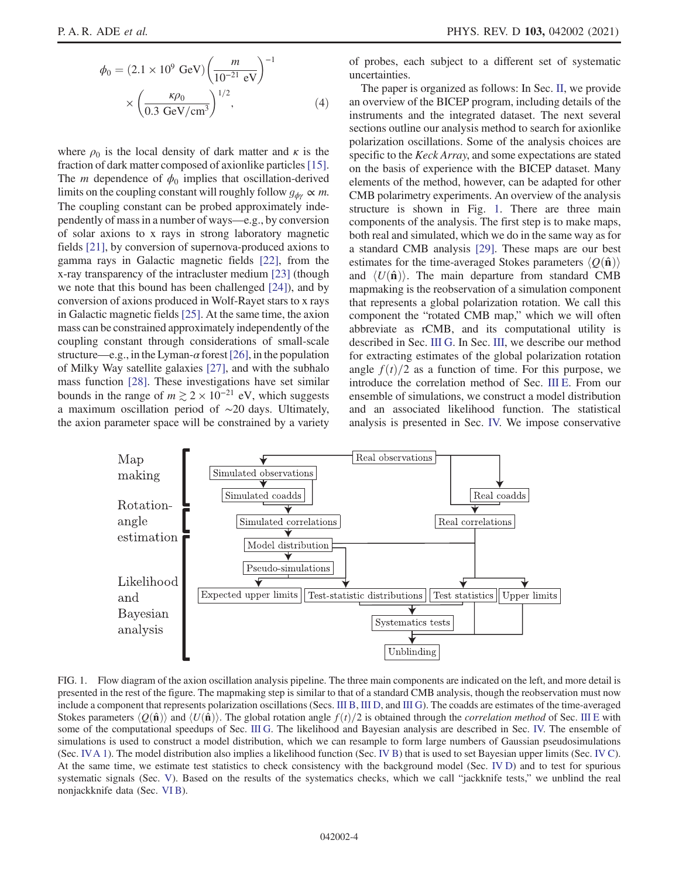$$
\phi_0 = (2.1 \times 10^9 \text{ GeV}) \left(\frac{m}{10^{-21} \text{ eV}}\right)^{-1}
$$

$$
\times \left(\frac{\kappa \rho_0}{0.3 \text{ GeV/cm}^3}\right)^{1/2}, \tag{4}
$$

where  $\rho_0$  is the local density of dark matter and  $\kappa$  is the fraction of dark matter composed of axionlike particles[\[15\]](#page-21-4). The *m* dependence of  $\phi_0$  implies that oscillation-derived limits on the coupling constant will roughly follow  $g_{\phi\gamma} \propto m$ . The coupling constant can be probed approximately independently of mass in a number of ways—e.g., by conversion of solar axions to x rays in strong laboratory magnetic fields [\[21\],](#page-22-1) by conversion of supernova-produced axions to gamma rays in Galactic magnetic fields [\[22\]](#page-22-2), from the x-ray transparency of the intracluster medium [\[23\]](#page-22-3) (though we note that this bound has been challenged [\[24\]](#page-22-4)), and by conversion of axions produced in Wolf-Rayet stars to x rays in Galactic magnetic fields [\[25\].](#page-22-5) At the same time, the axion mass can be constrained approximately independently of the coupling constant through considerations of small-scale structure—e.g., in the Lyman- $\alpha$  forest [\[26\]](#page-22-6), in the population of Milky Way satellite galaxies [\[27\]](#page-22-7), and with the subhalo mass function [\[28\].](#page-22-8) These investigations have set similar bounds in the range of  $m \gtrsim 2 \times 10^{-21}$  eV, which suggests a maximum oscillation period of ∼20 days. Ultimately, the axion parameter space will be constrained by a variety of probes, each subject to a different set of systematic uncertainties.

The paper is organized as follows: In Sec. [II](#page-4-0), we provide an overview of the BICEP program, including details of the instruments and the integrated dataset. The next several sections outline our analysis method to search for axionlike polarization oscillations. Some of the analysis choices are specific to the Keck Array, and some expectations are stated on the basis of experience with the BICEP dataset. Many elements of the method, however, can be adapted for other CMB polarimetry experiments. An overview of the analysis structure is shown in Fig. [1.](#page-3-0) There are three main components of the analysis. The first step is to make maps, both real and simulated, which we do in the same way as for a standard CMB analysis [\[29\].](#page-22-9) These maps are our best estimates for the time-averaged Stokes parameters  $\langle Q(\hat{\bf n}) \rangle$ and  $\langle U(\hat{\mathbf{n}})\rangle$ . The main departure from standard CMB mapmaking is the reobservation of a simulation component that represents a global polarization rotation. We call this component the "rotated CMB map," which we will often abbreviate as rCMB, and its computational utility is described in Sec. [III G](#page-10-0). In Sec. [III](#page-4-1), we describe our method for extracting estimates of the global polarization rotation angle  $f(t)/2$  as a function of time. For this purpose, we introduce the correlation method of Sec. [III E.](#page-6-0) From our ensemble of simulations, we construct a model distribution and an associated likelihood function. The statistical analysis is presented in Sec. [IV.](#page-11-0) We impose conservative

<span id="page-3-0"></span>

FIG. 1. Flow diagram of the axion oscillation analysis pipeline. The three main components are indicated on the left, and more detail is presented in the rest of the figure. The mapmaking step is similar to that of a standard CMB analysis, though the reobservation must now include a component that represents polarization oscillations (Secs. [III B](#page-5-0), [III D](#page-6-1), and [III G](#page-10-0)). The coadds are estimates of the time-averaged Stokes parameters  $\langle Q(\hat{\bf n})\rangle$  and  $\langle U(\hat{\bf n})\rangle$ . The global rotation angle  $f(t)/2$  is obtained through the *correlation method* of Sec. [III E](#page-6-0) with some of the computational speedups of Sec. [III G](#page-10-0). The likelihood and Bayesian analysis are described in Sec. [IV.](#page-11-0) The ensemble of simulations is used to construct a model distribution, which we can resample to form large numbers of Gaussian pseudosimulations (Sec. [IVA 1](#page-12-0)). The model distribution also implies a likelihood function (Sec. [IV B\)](#page-12-1) that is used to set Bayesian upper limits (Sec. [IV C\)](#page-13-0). At the same time, we estimate test statistics to check consistency with the background model (Sec. [IV D](#page-13-1)) and to test for spurious systematic signals (Sec. [V](#page-14-0)). Based on the results of the systematics checks, which we call "jackknife tests," we unblind the real nonjackknife data (Sec. [VI B](#page-17-0)).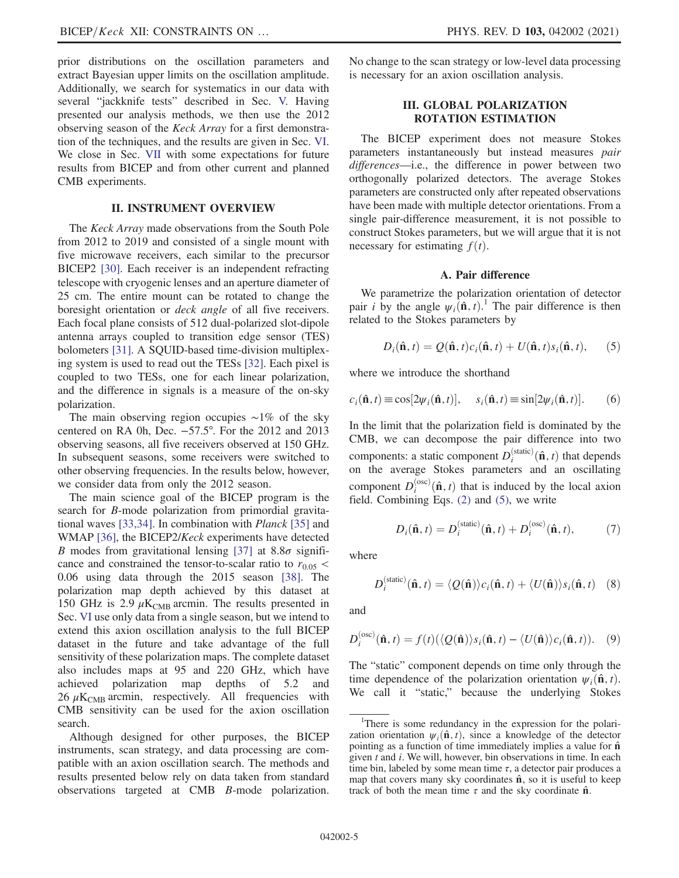prior distributions on the oscillation parameters and extract Bayesian upper limits on the oscillation amplitude. Additionally, we search for systematics in our data with several "jackknife tests" described in Sec. [V.](#page-14-0) Having presented our analysis methods, we then use the 2012 observing season of the Keck Array for a first demonstration of the techniques, and the results are given in Sec. [VI](#page-16-0). We close in Sec. [VII](#page-20-0) with some expectations for future results from BICEP and from other current and planned CMB experiments.

### II. INSTRUMENT OVERVIEW

<span id="page-4-0"></span>The Keck Array made observations from the South Pole from 2012 to 2019 and consisted of a single mount with five microwave receivers, each similar to the precursor BICEP2 [\[30\]](#page-22-10). Each receiver is an independent refracting telescope with cryogenic lenses and an aperture diameter of 25 cm. The entire mount can be rotated to change the boresight orientation or deck angle of all five receivers. Each focal plane consists of 512 dual-polarized slot-dipole antenna arrays coupled to transition edge sensor (TES) bolometers [\[31\]](#page-22-11). A SQUID-based time-division multiplexing system is used to read out the TESs [\[32\].](#page-22-12) Each pixel is coupled to two TESs, one for each linear polarization, and the difference in signals is a measure of the on-sky polarization.

The main observing region occupies ∼1% of the sky centered on RA 0h, Dec. −57.5°. For the 2012 and 2013 observing seasons, all five receivers observed at 150 GHz. In subsequent seasons, some receivers were switched to other observing frequencies. In the results below, however, we consider data from only the 2012 season.

The main science goal of the BICEP program is the search for B-mode polarization from primordial gravitational waves [\[33,34\]](#page-22-13). In combination with Planck [\[35\]](#page-22-14) and WMAP [\[36\],](#page-22-15) the BICEP2/*Keck* experiments have detected B modes from gravitational lensing [\[37\]](#page-22-16) at  $8.8\sigma$  significance and constrained the tensor-to-scalar ratio to  $r_{0.05}$  < 0.06 using data through the 2015 season [\[38\]](#page-22-17). The polarization map depth achieved by this dataset at 150 GHz is 2.9  $\mu$ K<sub>CMB</sub> arcmin. The results presented in Sec. [VI](#page-16-0) use only data from a single season, but we intend to extend this axion oscillation analysis to the full BICEP dataset in the future and take advantage of the full sensitivity of these polarization maps. The complete dataset also includes maps at 95 and 220 GHz, which have achieved polarization map depths of 5.2 and 26  $\mu$ K<sub>CMB</sub> arcmin, respectively. All frequencies with CMB sensitivity can be used for the axion oscillation search.

Although designed for other purposes, the BICEP instruments, scan strategy, and data processing are compatible with an axion oscillation search. The methods and results presented below rely on data taken from standard observations targeted at CMB B-mode polarization. <span id="page-4-1"></span>No change to the scan strategy or low-level data processing is necessary for an axion oscillation analysis.

### III. GLOBAL POLARIZATION ROTATION ESTIMATION

The BICEP experiment does not measure Stokes parameters instantaneously but instead measures pair differences—i.e., the difference in power between two orthogonally polarized detectors. The average Stokes parameters are constructed only after repeated observations have been made with multiple detector orientations. From a single pair-difference measurement, it is not possible to construct Stokes parameters, but we will argue that it is not necessary for estimating  $f(t)$ .

### A. Pair difference

<span id="page-4-2"></span>We parametrize the polarization orientation of detector pair *i* by the angle  $\psi_i(\hat{\mathbf{n}}, t)$ .<sup>1</sup> The pair difference is then related to the Stokes parameters by related to the Stokes parameters by

$$
D_i(\hat{\mathbf{n}}, t) = Q(\hat{\mathbf{n}}, t)c_i(\hat{\mathbf{n}}, t) + U(\hat{\mathbf{n}}, t)s_i(\hat{\mathbf{n}}, t),
$$
 (5)

where we introduce the shorthand

$$
c_i(\hat{\mathbf{n}}, t) \equiv \cos[2\psi_i(\hat{\mathbf{n}}, t)], \quad s_i(\hat{\mathbf{n}}, t) \equiv \sin[2\psi_i(\hat{\mathbf{n}}, t)]. \tag{6}
$$

In the limit that the polarization field is dominated by the CMB, we can decompose the pair difference into two components: a static component  $D_i^{(\text{static})}(\hat{\mathbf{n}}, t)$  that depends<br>on the average Stokes parameters and an oscillating on the average Stokes parameters and an oscillating component  $D_i^{(osc)}(\hat{\mathbf{n}}, t)$  that is induced by the local axion<br>field Combining Eqs. (2) and (5), we write field. Combining Eqs. [\(2\)](#page-2-0) and [\(5\)](#page-4-2), we write

$$
D_i(\hat{\mathbf{n}}, t) = D_i^{(\text{static})}(\hat{\mathbf{n}}, t) + D_i^{(\text{osc})}(\hat{\mathbf{n}}, t),
$$
 (7)

where

$$
D_i^{(\text{static})}(\hat{\mathbf{n}}, t) = \langle Q(\hat{\mathbf{n}}) \rangle c_i(\hat{\mathbf{n}}, t) + \langle U(\hat{\mathbf{n}}) \rangle s_i(\hat{\mathbf{n}}, t) \quad (8)
$$

and

$$
D_i^{(\text{osc})}(\hat{\mathbf{n}}, t) = f(t) (\langle Q(\hat{\mathbf{n}}) \rangle s_i(\hat{\mathbf{n}}, t) - \langle U(\hat{\mathbf{n}}) \rangle c_i(\hat{\mathbf{n}}, t)). \quad (9)
$$

The "static" component depends on time only through the time dependence of the polarization orientation  $\psi_i(\hat{\mathbf{n}}, t)$ . We call it "static," because the underlying Stokes

<sup>&</sup>lt;sup>1</sup>There is some redundancy in the expression for the polarization orientation  $\psi_i(\hat{\mathbf{n}}, t)$ , since a knowledge of the detector pointing as a function of time immediately implies a value for  $\hat{\bf{n}}$ given  $t$  and  $i$ . We will, however, bin observations in time. In each time bin, labeled by some mean time  $\tau$ , a detector pair produces a map that covers many sky coordinates  $\hat{\mathbf{n}}$ , so it is useful to keep track of both the mean time  $\tau$  and the sky coordinate  $\hat{\mathbf{n}}$ .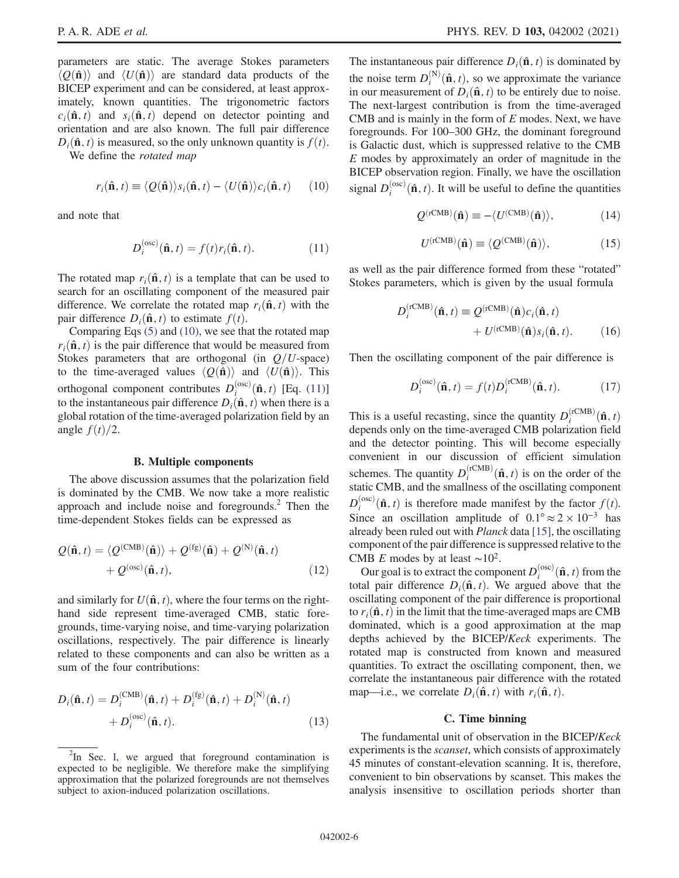parameters are static. The average Stokes parameters  $\langle O(\hat{\bf n})\rangle$  and  $\langle U(\hat{\bf n})\rangle$  are standard data products of the BICEP experiment and can be considered, at least approximately, known quantities. The trigonometric factors  $c_i(\hat{\mathbf{n}}, t)$  and  $s_i(\hat{\mathbf{n}}, t)$  depend on detector pointing and orientation and are also known. The full pair difference  $D_i(\hat{\mathbf{n}}, t)$  is measured, so the only unknown quantity is  $f(t)$ .

<span id="page-5-1"></span>We define the rotated map

$$
r_i(\hat{\mathbf{n}}, t) \equiv \langle Q(\hat{\mathbf{n}}) \rangle s_i(\hat{\mathbf{n}}, t) - \langle U(\hat{\mathbf{n}}) \rangle c_i(\hat{\mathbf{n}}, t) \qquad (10)
$$

<span id="page-5-2"></span>and note that

$$
D_i^{(\text{osc})}(\hat{\mathbf{n}}, t) = f(t)r_i(\hat{\mathbf{n}}, t).
$$
 (11)

The rotated map  $r_i(\hat{\mathbf{n}}, t)$  is a template that can be used to search for an oscillating component of the measured pair difference. We correlate the rotated map  $r_i(\hat{\mathbf{n}}, t)$  with the pair difference  $D_i(\hat{\mathbf{n}}, t)$  to estimate  $f(t)$ .

Comparing Eqs [\(5\)](#page-4-2) and [\(10\)](#page-5-1), we see that the rotated map  $r_i(\hat{\mathbf{n}}, t)$  is the pair difference that would be measured from Stokes parameters that are orthogonal (in  $Q/U$ -space) to the time-averaged values  $\langle Q(\hat{\mathbf{n}}) \rangle$  and  $\langle U(\hat{\mathbf{n}}) \rangle$ . This orthogonal component contributes  $D_i^{(osc)}(\hat{\mathbf{n}}, t)$  [Eq. [\(11\)\]](#page-5-2)<br>to the instantaneous pair difference  $D_i(\hat{\mathbf{n}}, t)$  when there is a to the instantaneous pair difference  $D_i(\hat{\mathbf{n}}, t)$  when there is a global rotation of the time-averaged polarization field by an angle  $f(t)/2$ .

#### B. Multiple components

<span id="page-5-0"></span>The above discussion assumes that the polarization field is dominated by the CMB. We now take a more realistic approach and include noise and foregrounds. $<sup>2</sup>$  Then the</sup> time-dependent Stokes fields can be expressed as

$$
Q(\hat{\mathbf{n}}, t) = \langle Q^{(\text{CMB})}(\hat{\mathbf{n}}) \rangle + Q^{(\text{fg})}(\hat{\mathbf{n}}) + Q^{(\text{N})}(\hat{\mathbf{n}}, t) + Q^{(\text{osc})}(\hat{\mathbf{n}}, t), \tag{12}
$$

and similarly for  $U(\hat{\mathbf{n}}, t)$ , where the four terms on the righthand side represent time-averaged CMB, static foregrounds, time-varying noise, and time-varying polarization oscillations, respectively. The pair difference is linearly related to these components and can also be written as a sum of the four contributions:

$$
D_i(\hat{\mathbf{n}}, t) = D_i^{(\text{CMB})}(\hat{\mathbf{n}}, t) + D_i^{(\text{fg})}(\hat{\mathbf{n}}, t) + D_i^{(\text{N})}(\hat{\mathbf{n}}, t) + D_i^{(\text{osc})}(\hat{\mathbf{n}}, t).
$$
\n(13)

The instantaneous pair difference  $D_i(\hat{\mathbf{n}}, t)$  is dominated by the noise term  $D_i^{(N)}(\hat{\mathbf{n}}, t)$ , so we approximate the variance<br>in our measurement of  $D_i(\hat{\mathbf{n}}, t)$  to be entirely due to noise in our measurement of  $D_i(\hat{\mathbf{n}}, t)$  to be entirely due to noise. The next-largest contribution is from the time-averaged CMB and is mainly in the form of E modes. Next, we have foregrounds. For 100–300 GHz, the dominant foreground is Galactic dust, which is suppressed relative to the CMB  $E$  modes by approximately an order of magnitude in the BICEP observation region. Finally, we have the oscillation signal  $D_i^{(osc)}(\hat{\mathbf{n}}, t)$ . It will be useful to define the quantities

$$
Q^{(\text{rCMB})}(\hat{\mathbf{n}}) \equiv -\langle U^{(\text{CMB})}(\hat{\mathbf{n}}) \rangle, \tag{14}
$$

$$
U^{(\text{rCMB})}(\hat{\mathbf{n}}) \equiv \langle \mathcal{Q}^{(\text{CMB})}(\hat{\mathbf{n}}) \rangle, \tag{15}
$$

as well as the pair difference formed from these "rotated" Stokes parameters, which is given by the usual formula

$$
D_i^{(\text{rCMB})}(\hat{\mathbf{n}}, t) \equiv Q^{(\text{rCMB})}(\hat{\mathbf{n}}) c_i(\hat{\mathbf{n}}, t) + U^{(\text{rCMB})}(\hat{\mathbf{n}}) s_i(\hat{\mathbf{n}}, t).
$$
 (16)

Then the oscillating component of the pair difference is

$$
D_i^{(\text{osc})}(\hat{\mathbf{n}}, t) = f(t)D_i^{(\text{rCMB})}(\hat{\mathbf{n}}, t).
$$
 (17)

This is a useful recasting, since the quantity  $D_i^{(rCMB)}(\hat{\bf n}, t)$ <br>depends only on the time-averaged CMB polarization field depends only on the time-averaged CMB polarization field and the detector pointing. This will become especially convenient in our discussion of efficient simulation schemes. The quantity  $D_i^{(rCMB)}(\hat{\mathbf{n}}, t)$  is on the order of the static CMB, and the smallness of the oscillating component  $D_i^{(osc)}(\hat{\mathbf{n}}, t)$  is therefore made manifest by the factor  $f(t)$ .<br>Since an oscillation applitude of  $0.1^\circ \approx 2 \times 10^{-3}$  has Since an oscillation amplitude of  $0.1^{\circ} \approx 2 \times 10^{-3}$  has already been ruled out with Planck data [\[15\]](#page-21-4), the oscillating component of the pair difference is suppressed relative to the CMB E modes by at least  $\sim$ 10<sup>2</sup>.

Our goal is to extract the component  $D_i^{(osc)}(\hat{\mathbf{n}}, t)$  from the algorithm of the state of  $D_i(\hat{\mathbf{n}}, t)$ . We aroued above that the total pair difference  $D_i(\hat{\mathbf{n}}, t)$ . We argued above that the oscillating component of the pair difference is proportional to  $r_i(\hat{\mathbf{n}}, t)$  in the limit that the time-averaged maps are CMB dominated, which is a good approximation at the map depths achieved by the BICEP/Keck experiments. The rotated map is constructed from known and measured quantities. To extract the oscillating component, then, we correlate the instantaneous pair difference with the rotated map—i.e., we correlate  $D_i(\hat{\mathbf{n}}, t)$  with  $r_i(\hat{\mathbf{n}}, t)$ .

#### C. Time binning

<span id="page-5-3"></span>The fundamental unit of observation in the BICEP/Keck experiments is the *scanset*, which consists of approximately 45 minutes of constant-elevation scanning. It is, therefore, convenient to bin observations by scanset. This makes the analysis insensitive to oscillation periods shorter than

 ${}^{2}$ In Sec. [I,](#page-1-0) we argued that foreground contamination is expected to be negligible. We therefore make the simplifying approximation that the polarized foregrounds are not themselves subject to axion-induced polarization oscillations.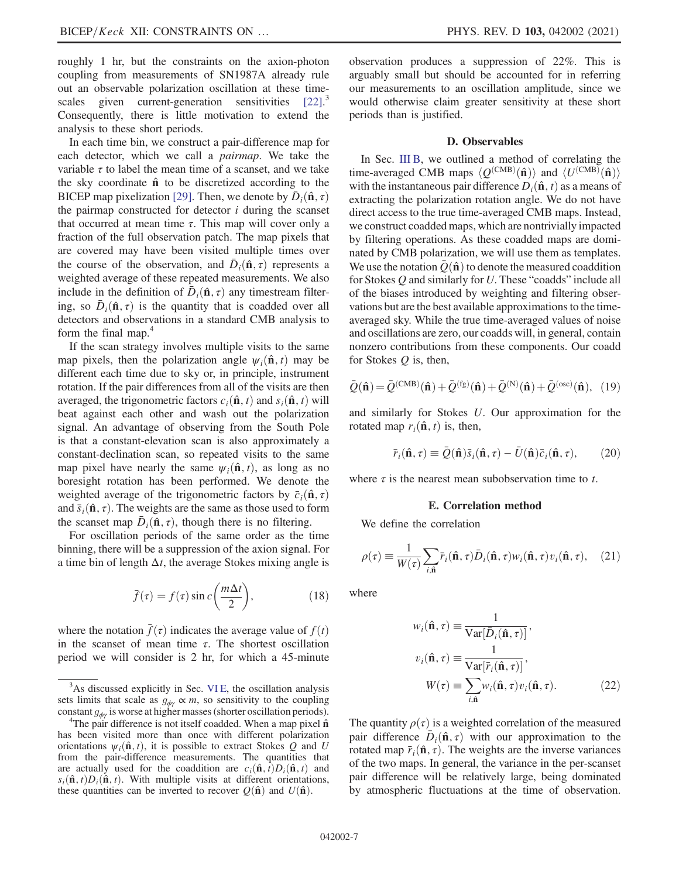roughly 1 hr, but the constraints on the axion-photon coupling from measurements of SN1987A already rule out an observable polarization oscillation at these time-scales given current-generation sensitivities [\[22\].](#page-22-2)<sup>3</sup> Consequently, there is little motivation to extend the analysis to these short periods.

In each time bin, we construct a pair-difference map for each detector, which we call a pairmap. We take the variable  $\tau$  to label the mean time of a scanset, and we take the sky coordinate  $\hat{\mathbf{n}}$  to be discretized according to the BICEP map pixelization [\[29\]](#page-22-9). Then, we denote by  $\bar{D}_i(\hat{\mathbf{n}}, \tau)$ the pairmap constructed for detector  $i$  during the scanset that occurred at mean time  $\tau$ . This map will cover only a fraction of the full observation patch. The map pixels that are covered may have been visited multiple times over the course of the observation, and  $\bar{D}_i(\hat{\mathbf{n}}, \tau)$  represents a weighted average of these repeated measurements. We also include in the definition of  $\bar{D}_i(\hat{\mathbf{n}}, \tau)$  any timestream filtering, so  $\bar{D}_i(\hat{\mathbf{n}}, \tau)$  is the quantity that is coadded over all detectors and observations in a standard CMB analysis to form the final map.<sup>4</sup>

If the scan strategy involves multiple visits to the same map pixels, then the polarization angle  $\psi_i(\hat{\mathbf{n}}, t)$  may be different each time due to sky or, in principle, instrument rotation. If the pair differences from all of the visits are then averaged, the trigonometric factors  $c_i(\hat{\mathbf{n}}, t)$  and  $s_i(\hat{\mathbf{n}}, t)$  will beat against each other and wash out the polarization signal. An advantage of observing from the South Pole is that a constant-elevation scan is also approximately a constant-declination scan, so repeated visits to the same map pixel have nearly the same  $\psi_i(\hat{\mathbf{n}}, t)$ , as long as no boresight rotation has been performed. We denote the weighted average of the trigonometric factors by  $\bar{c}_i(\hat{\mathbf{n}}, \tau)$ and  $\bar{s}_i(\hat{\mathbf{n}}, \tau)$ . The weights are the same as those used to form the scanset map  $\bar{D}_i(\hat{\mathbf{n}}, \tau)$ , though there is no filtering.

<span id="page-6-3"></span>For oscillation periods of the same order as the time binning, there will be a suppression of the axion signal. For a time bin of length  $\Delta t$ , the average Stokes mixing angle is

$$
\bar{f}(\tau) = f(\tau) \sin c \left(\frac{m\Delta t}{2}\right),\tag{18}
$$

where the notation  $\bar{f}(\tau)$  indicates the average value of  $f(t)$ in the scanset of mean time  $\tau$ . The shortest oscillation period we will consider is 2 hr, for which a 45-minute observation produces a suppression of 22%. This is arguably small but should be accounted for in referring our measurements to an oscillation amplitude, since we would otherwise claim greater sensitivity at these short periods than is justified.

#### D. Observables

<span id="page-6-1"></span>In Sec. [III B,](#page-5-0) we outlined a method of correlating the time-averaged CMB maps  $\langle Q^{(\text{CMB})}(\hat{\mathbf{n}}) \rangle$  and  $\langle U^{(\text{CMB})}(\hat{\mathbf{n}}) \rangle$ <br>with the instantaneous pair difference  $D(\hat{\mathbf{n}})$  as a means of with the instantaneous pair difference  $D_i(\hat{\mathbf{n}}, t)$  as a means of extracting the polarization rotation angle. We do not have direct access to the true time-averaged CMB maps. Instead, we construct coadded maps, which are nontrivially impacted by filtering operations. As these coadded maps are dominated by CMB polarization, we will use them as templates. We use the notation  $\bar{O}(\hat{\bf n})$  to denote the measured coaddition for Stokes Q and similarly for U. These "coadds" include all of the biases introduced by weighting and filtering observations but are the best available approximations to the timeaveraged sky. While the true time-averaged values of noise and oscillations are zero, our coadds will, in general, contain nonzero contributions from these components. Our coadd for Stokes  $Q$  is, then,

$$
\bar{Q}(\hat{\mathbf{n}}) = \bar{Q}^{(\text{CMB})}(\hat{\mathbf{n}}) + \bar{Q}^{(\text{fg})}(\hat{\mathbf{n}}) + \bar{Q}^{(\text{N})}(\hat{\mathbf{n}}) + \bar{Q}^{(\text{osc})}(\hat{\mathbf{n}}), (19)
$$

<span id="page-6-4"></span>and similarly for Stokes U. Our approximation for the rotated map  $r_i(\hat{\mathbf{n}}, t)$  is, then,

$$
\bar{r}_i(\hat{\mathbf{n}}, \tau) \equiv \bar{Q}(\hat{\mathbf{n}})\bar{s}_i(\hat{\mathbf{n}}, \tau) - \bar{U}(\hat{\mathbf{n}})\bar{c}_i(\hat{\mathbf{n}}, \tau), \qquad (20)
$$

<span id="page-6-0"></span>where  $\tau$  is the nearest mean subobservation time to t.

#### E. Correlation method

<span id="page-6-2"></span>We define the correlation

$$
\rho(\tau) \equiv \frac{1}{W(\tau)} \sum_{i,\hat{\mathbf{n}}} \bar{r}_i(\hat{\mathbf{n}}, \tau) \bar{D}_i(\hat{\mathbf{n}}, \tau) w_i(\hat{\mathbf{n}}, \tau) v_i(\hat{\mathbf{n}}, \tau), \quad (21)
$$

where

$$
w_i(\hat{\mathbf{n}}, \tau) \equiv \frac{1}{\text{Var}[\bar{D}_i(\hat{\mathbf{n}}, \tau)]},
$$
  
\n
$$
v_i(\hat{\mathbf{n}}, \tau) \equiv \frac{1}{\text{Var}[\bar{r}_i(\hat{\mathbf{n}}, \tau)]},
$$
  
\n
$$
W(\tau) \equiv \sum_{i, \hat{\mathbf{n}}} w_i(\hat{\mathbf{n}}, \tau) v_i(\hat{\mathbf{n}}, \tau).
$$
 (22)

The quantity  $\rho(\tau)$  is a weighted correlation of the measured pair difference  $D_i(\hat{\mathbf{n}}, \tau)$  with our approximation to the rotated map  $\bar{r}_i(\hat{\mathbf{n}}, \tau)$ . The weights are the inverse variances of the two maps. In general, the variance in the per-scanset pair difference will be relatively large, being dominated by atmospheric fluctuations at the time of observation.

 $3$ As discussed explicitly in Sec. VIE, the oscillation analysis sets limits that scale as  $g_{\phi\gamma} \propto m$ , so sensitivity to the coupling constant  $g_{\phi\gamma}$  is worse at higher masses (shorter oscillation periods).

<sup>&</sup>lt;sup>4</sup>The pair difference is not itself coadded. When a map pixel  $\hat{\mathbf{n}}$ has been visited more than once with different polarization orientations  $\psi_i(\hat{\mathbf{n}}, t)$ , it is possible to extract Stokes O and U from the pair-difference measurements. The quantities that are actually used for the coaddition are  $c_i(\hat{\mathbf{n}}, t)D_i(\hat{\mathbf{n}}, t)$  and  $s_i(\hat{\mathbf{n}}, t)D_i(\hat{\mathbf{n}}, t)$ . With multiple visits at different orientations, these quantities can be inverted to recover  $Q(\hat{\mathbf{n}})$  and  $U(\hat{\mathbf{n}})$ .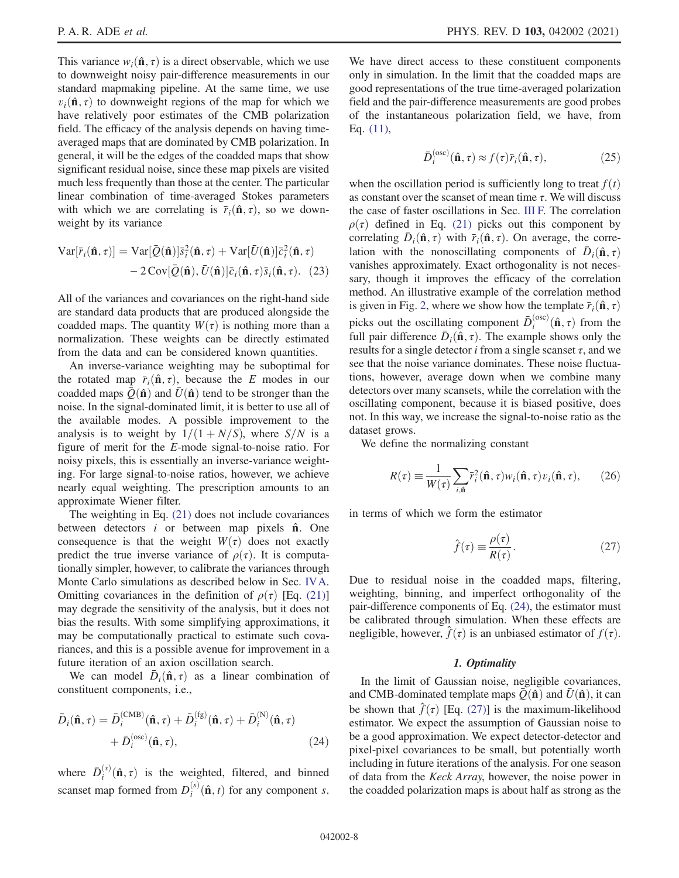This variance  $w_i(\hat{\mathbf{n}}, \tau)$  is a direct observable, which we use to downweight noisy pair-difference measurements in our standard mapmaking pipeline. At the same time, we use  $v_i(\hat{\mathbf{n}}, \tau)$  to downweight regions of the map for which we have relatively poor estimates of the CMB polarization field. The efficacy of the analysis depends on having timeaveraged maps that are dominated by CMB polarization. In general, it will be the edges of the coadded maps that show significant residual noise, since these map pixels are visited much less frequently than those at the center. The particular linear combination of time-averaged Stokes parameters with which we are correlating is  $\bar{r}_i(\hat{\mathbf{n}}, \tau)$ , so we downweight by its variance

$$
\operatorname{Var}[\bar{r}_i(\hat{\mathbf{n}}, \tau)] = \operatorname{Var}[\bar{Q}(\hat{\mathbf{n}})] \bar{s}_i^2(\hat{\mathbf{n}}, \tau) + \operatorname{Var}[\bar{U}(\hat{\mathbf{n}})] \bar{c}_i^2(\hat{\mathbf{n}}, \tau) - 2 \operatorname{Cov}[\bar{Q}(\hat{\mathbf{n}}), \bar{U}(\hat{\mathbf{n}})] \bar{c}_i(\hat{\mathbf{n}}, \tau) \bar{s}_i(\hat{\mathbf{n}}, \tau). (23)
$$

All of the variances and covariances on the right-hand side are standard data products that are produced alongside the coadded maps. The quantity  $W(\tau)$  is nothing more than a normalization. These weights can be directly estimated from the data and can be considered known quantities.

An inverse-variance weighting may be suboptimal for the rotated map  $\bar{r}_i(\hat{\mathbf{n}}, \tau)$ , because the E modes in our coadded maps  $\overline{Q}(\hat{\bf n})$  and  $\overline{U}(\hat{\bf n})$  tend to be stronger than the noise. In the signal-dominated limit, it is better to use all of the available modes. A possible improvement to the analysis is to weight by  $1/(1 + N/S)$ , where  $S/N$  is a figure of merit for the E-mode signal-to-noise ratio. For noisy pixels, this is essentially an inverse-variance weighting. For large signal-to-noise ratios, however, we achieve nearly equal weighting. The prescription amounts to an approximate Wiener filter.

The weighting in Eq. [\(21\)](#page-6-2) does not include covariances between detectors  $i$  or between map pixels  $\hat{\mathbf{n}}$ . One consequence is that the weight  $W(\tau)$  does not exactly predict the true inverse variance of  $\rho(\tau)$ . It is computationally simpler, however, to calibrate the variances through Monte Carlo simulations as described below in Sec. [IVA](#page-11-1). Omitting covariances in the definition of  $\rho(\tau)$  [Eq. [\(21\)\]](#page-6-2) may degrade the sensitivity of the analysis, but it does not bias the results. With some simplifying approximations, it may be computationally practical to estimate such covariances, and this is a possible avenue for improvement in a future iteration of an axion oscillation search.

<span id="page-7-0"></span>We can model  $D_i(\hat{\mathbf{n}}, \tau)$  as a linear combination of constituent components, i.e.,

$$
\bar{D}_i(\hat{\mathbf{n}}, \tau) = \bar{D}_i^{(\text{CMB})}(\hat{\mathbf{n}}, \tau) + \bar{D}_i^{(\text{fg})}(\hat{\mathbf{n}}, \tau) + \bar{D}_i^{(\text{N})}(\hat{\mathbf{n}}, \tau) + \bar{D}_i^{(\text{osc})}(\hat{\mathbf{n}}, \tau), \tag{24}
$$

where  $\bar{D}_i^{(s)}(\hat{\mathbf{n}}, \tau)$  is the weighted, filtered, and binned scanset map formed from  $D_i^{(s)}(\hat{\mathbf{n}}, t)$  for any component s. We have direct access to these constituent components only in simulation. In the limit that the coadded maps are good representations of the true time-averaged polarization field and the pair-difference measurements are good probes of the instantaneous polarization field, we have, from Eq. [\(11\)](#page-5-2),

$$
\bar{D}_i^{(\text{osc})}(\hat{\mathbf{n}}, \tau) \approx f(\tau) \bar{r}_i(\hat{\mathbf{n}}, \tau), \tag{25}
$$

when the oscillation period is sufficiently long to treat  $f(t)$ as constant over the scanset of mean time  $\tau$ . We will discuss the case of faster oscillations in Sec. [III F.](#page-9-0) The correlation  $\rho(\tau)$  defined in Eq. [\(21\)](#page-6-2) picks out this component by correlating  $\bar{D}_i(\hat{\mathbf{n}}, \tau)$  with  $\bar{r}_i(\hat{\mathbf{n}}, \tau)$ . On average, the correlation with the nonoscillating components of  $\bar{D}_i(\hat{\mathbf{n}}, \tau)$ vanishes approximately. Exact orthogonality is not necessary, though it improves the efficacy of the correlation method. An illustrative example of the correlation method is given in Fig. [2](#page-8-0), where we show how the template  $\bar{r}_i(\hat{\mathbf{n}}, \tau)$ picks out the oscillating component  $\bar{D}_i^{(osc)}(\hat{\mathbf{n}}, \tau)$  from the full pair difference  $\bar{D}(\hat{\mathbf{n}}, \tau)$ . The example shows only the full pair difference  $\bar{D}_i(\hat{\mathbf{n}}, \tau)$ . The example shows only the results for a single detector *i* from a single scanset  $\tau$ , and we see that the noise variance dominates. These noise fluctuations, however, average down when we combine many detectors over many scansets, while the correlation with the oscillating component, because it is biased positive, does not. In this way, we increase the signal-to-noise ratio as the dataset grows.

<span id="page-7-2"></span>We define the normalizing constant

$$
R(\tau) \equiv \frac{1}{W(\tau)} \sum_{i,\hat{\mathbf{n}}} \bar{r}_i^2(\hat{\mathbf{n}}, \tau) w_i(\hat{\mathbf{n}}, \tau) v_i(\hat{\mathbf{n}}, \tau), \qquad (26)
$$

<span id="page-7-1"></span>in terms of which we form the estimator

$$
\hat{f}(\tau) \equiv \frac{\rho(\tau)}{R(\tau)}.\tag{27}
$$

Due to residual noise in the coadded maps, filtering, weighting, binning, and imperfect orthogonality of the pair-difference components of Eq. [\(24\),](#page-7-0) the estimator must be calibrated through simulation. When these effects are negligible, however,  $\hat{f}(\tau)$  is an unbiased estimator of  $f(\tau)$ .

#### 1. Optimality

In the limit of Gaussian noise, negligible covariances, and CMB-dominated template maps  $\bar{Q}(\hat{\bf{n}})$  and  $\bar{U}(\hat{\bf{n}})$ , it can be shown that  $\hat{f}(\tau)$  [Eq. [\(27\)\]](#page-7-1) is the maximum-likelihood estimator. We expect the assumption of Gaussian noise to be a good approximation. We expect detector-detector and pixel-pixel covariances to be small, but potentially worth including in future iterations of the analysis. For one season of data from the Keck Array, however, the noise power in the coadded polarization maps is about half as strong as the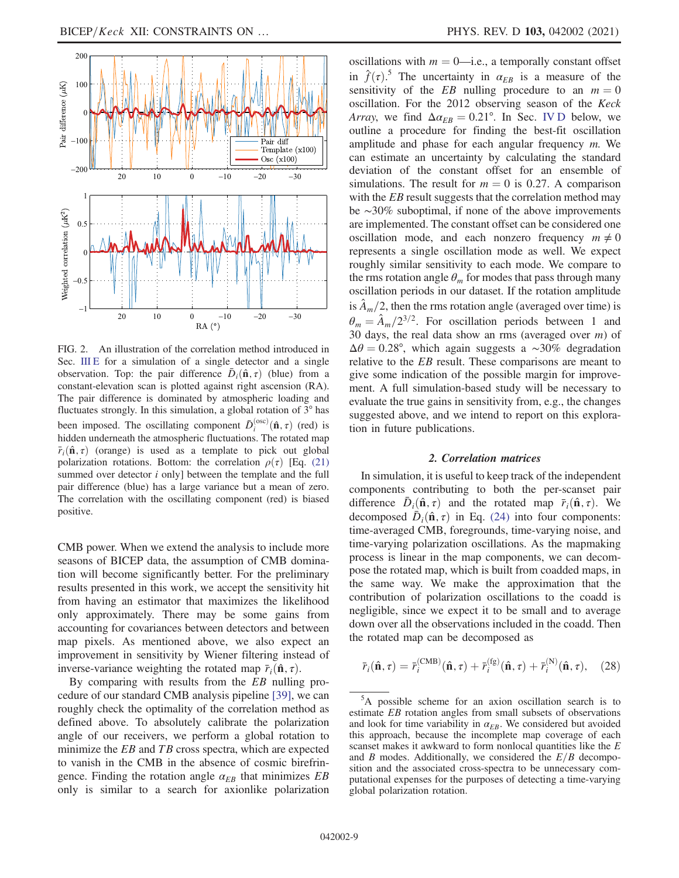<span id="page-8-0"></span>

FIG. 2. An illustration of the correlation method introduced in Sec. [III E](#page-6-0) for a simulation of a single detector and a single observation. Top: the pair difference  $\bar{D}_i(\hat{\mathbf{n}}, \tau)$  (blue) from a constant-elevation scan is plotted against right ascension (RA). The pair difference is dominated by atmospheric loading and fluctuates strongly. In this simulation, a global rotation of 3° has been imposed. The oscillating component  $\bar{D}_i^{(osc)}(\hat{\mathbf{n}}, \tau)$  (red) is hidden underneath the atmospheric fluctuations. The rotated man hidden underneath the atmospheric fluctuations. The rotated map  $\bar{r}_i(\hat{\mathbf{n}}, \tau)$  (orange) is used as a template to pick out global polarization rotations. Bottom: the correlation  $\rho(\tau)$  [Eq. [\(21\)](#page-6-2) summed over detector  $i$  only] between the template and the full pair difference (blue) has a large variance but a mean of zero. The correlation with the oscillating component (red) is biased positive.

CMB power. When we extend the analysis to include more seasons of BICEP data, the assumption of CMB domination will become significantly better. For the preliminary results presented in this work, we accept the sensitivity hit from having an estimator that maximizes the likelihood only approximately. There may be some gains from accounting for covariances between detectors and between map pixels. As mentioned above, we also expect an improvement in sensitivity by Wiener filtering instead of inverse-variance weighting the rotated map  $\bar{r}_i(\hat{\mathbf{n}}, \tau)$ .

By comparing with results from the  $EB$  nulling procedure of our standard CMB analysis pipeline [\[39\],](#page-22-18) we can roughly check the optimality of the correlation method as defined above. To absolutely calibrate the polarization angle of our receivers, we perform a global rotation to minimize the  $EB$  and  $TB$  cross spectra, which are expected to vanish in the CMB in the absence of cosmic birefringence. Finding the rotation angle  $\alpha_{EB}$  that minimizes EB only is similar to a search for axionlike polarization oscillations with  $m = 0$ —i.e., a temporally constant offset in  $\hat{f}(\tau)$ .<sup>5</sup> The uncertainty in  $\alpha_{EB}$  is a measure of the sensitivity of the *ER* nulling procedure to an  $m = 0$ sensitivity of the EB nulling procedure to an  $m = 0$ oscillation. For the 2012 observing season of the Keck Array, we find  $\Delta \alpha_{EB} = 0.21^{\circ}$ . In Sec. [IV D](#page-13-1) below, we outline a procedure for finding the best-fit oscillation amplitude and phase for each angular frequency  $m$ . We can estimate an uncertainty by calculating the standard deviation of the constant offset for an ensemble of simulations. The result for  $m = 0$  is 0.27. A comparison with the *EB* result suggests that the correlation method may be ∼30% suboptimal, if none of the above improvements are implemented. The constant offset can be considered one oscillation mode, and each nonzero frequency  $m \neq 0$ represents a single oscillation mode as well. We expect roughly similar sensitivity to each mode. We compare to the rms rotation angle  $\theta_m$  for modes that pass through many oscillation periods in our dataset. If the rotation amplitude is  $A_m/2$ , then the rms rotation angle (averaged over time) is  $\theta_m = \hat{A}_m/2^{3/2}$ . For oscillation periods between 1 and 30 days, the real data show an rms (averaged over  $m$ ) of  $\Delta\theta = 0.28^{\circ}$ , which again suggests a ∼30% degradation relative to the EB result. These comparisons are meant to give some indication of the possible margin for improvement. A full simulation-based study will be necessary to evaluate the true gains in sensitivity from, e.g., the changes suggested above, and we intend to report on this exploration in future publications.

#### 2. Correlation matrices

<span id="page-8-1"></span>In simulation, it is useful to keep track of the independent components contributing to both the per-scanset pair difference  $D_i(\hat{\mathbf{n}}, \tau)$  and the rotated map  $\bar{r}_i(\hat{\mathbf{n}}, \tau)$ . We decomposed  $\bar{D}_i(\hat{\mathbf{n}}, \tau)$  in Eq. [\(24\)](#page-7-0) into four components: time-averaged CMB, foregrounds, time-varying noise, and time-varying polarization oscillations. As the mapmaking process is linear in the map components, we can decompose the rotated map, which is built from coadded maps, in the same way. We make the approximation that the contribution of polarization oscillations to the coadd is negligible, since we expect it to be small and to average down over all the observations included in the coadd. Then the rotated map can be decomposed as

<span id="page-8-2"></span>
$$
\bar{r}_i(\hat{\mathbf{n}}, \tau) = \bar{r}_i^{(\text{CMB})}(\hat{\mathbf{n}}, \tau) + \bar{r}_i^{(\text{fg})}(\hat{\mathbf{n}}, \tau) + \bar{r}_i^{(\text{N})}(\hat{\mathbf{n}}, \tau), \quad (28)
$$

<sup>&</sup>lt;sup>5</sup>A possible scheme for an axion oscillation search is to estimate EB rotation angles from small subsets of observations and look for time variability in  $\alpha_{EB}$ . We considered but avoided this approach, because the incomplete map coverage of each scanset makes it awkward to form nonlocal quantities like the E and B modes. Additionally, we considered the  $E/B$  decomposition and the associated cross-spectra to be unnecessary computational expenses for the purposes of detecting a time-varying global polarization rotation.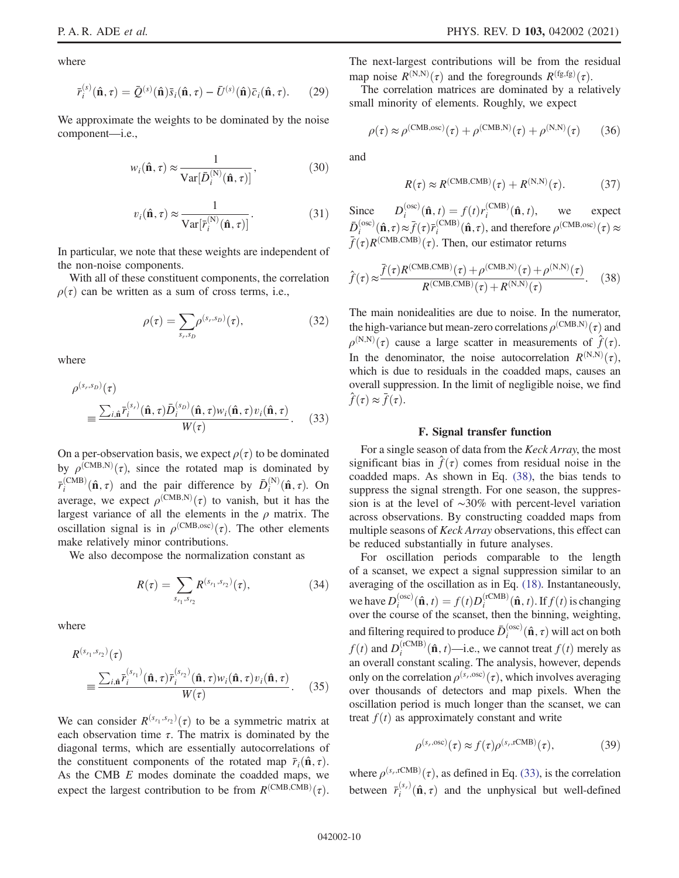where

$$
\bar{r}_i^{(s)}(\hat{\mathbf{n}}, \tau) = \bar{Q}^{(s)}(\hat{\mathbf{n}})\bar{s}_i(\hat{\mathbf{n}}, \tau) - \bar{U}^{(s)}(\hat{\mathbf{n}})\bar{c}_i(\hat{\mathbf{n}}, \tau). \tag{29}
$$

We approximate the weights to be dominated by the noise component—i.e.,

$$
w_i(\hat{\mathbf{n}}, \tau) \approx \frac{1}{\text{Var}[\bar{D}_i^{(N)}(\hat{\mathbf{n}}, \tau)]},
$$
(30)

$$
v_i(\hat{\mathbf{n}}, \tau) \approx \frac{1}{\text{Var}[\bar{r}_i^{(N)}(\hat{\mathbf{n}}, \tau)]}.
$$
 (31)

In particular, we note that these weights are independent of the non-noise components.

With all of these constituent components, the correlation  $\rho(\tau)$  can be written as a sum of cross terms, i.e.,

$$
\rho(\tau) = \sum_{s_r, s_D} \rho^{(s_r, s_D)}(\tau), \tag{32}
$$

<span id="page-9-2"></span>where

$$
\rho^{(s_r, s_p)}(\tau) = \frac{\sum_{i, \hat{\mathbf{n}}} \bar{r}_i^{(s_r)}(\hat{\mathbf{n}}, \tau) \bar{D}_i^{(s_p)}(\hat{\mathbf{n}}, \tau) w_i(\hat{\mathbf{n}}, \tau) v_i(\hat{\mathbf{n}}, \tau)}{W(\tau)}.
$$
(33)

On a per-observation basis, we expect  $\rho(\tau)$  to be dominated by  $\rho^{(\text{CMB},\text{N})}(\tau)$ , since the rotated map is dominated by  $\bar{r}_i^{(CMB)}(\hat{\mathbf{n}}, \tau)$  and the pair difference by  $\bar{D}_i^{(N)}(\hat{\mathbf{n}}, \tau)$ . On average, we expect  $\rho^{(CMB,N)}(\tau)$  to vanish, but it has the largest variance of all the elements in the *a* matrix. The largest variance of all the elements in the  $\rho$  matrix. The oscillation signal is in  $\rho^{\text{(CMB,osc)}}(\tau)$ . The other elements make relatively minor contributions. make relatively minor contributions.

We also decompose the normalization constant as

$$
R(\tau) = \sum_{s_{r_1}, s_{r_2}} R^{(s_{r_1}, s_{r_2})}(\tau), \tag{34}
$$

where

$$
R^{(s_{r_1}, s_{r_2})}(\tau)
$$
  
= 
$$
\frac{\sum_{i, \hat{\mathbf{n}}} \bar{r}_i^{(s_{r_1})}(\hat{\mathbf{n}}, \tau) \bar{r}_i^{(s_{r_2})}(\hat{\mathbf{n}}, \tau) w_i(\hat{\mathbf{n}}, \tau) v_i(\hat{\mathbf{n}}, \tau)}{W(\tau)}.
$$
 (35)

We can consider  $R^{(s_{r_1}, s_{r_2})}(\tau)$  to be a symmetric matrix at each observation time  $\tau$ . The matrix is dominated by the each observation time  $\tau$ . The matrix is dominated by the diagonal terms, which are essentially autocorrelations of the constituent components of the rotated map  $\bar{r}_i(\hat{\mathbf{n}}, \tau)$ . As the CMB E modes dominate the coadded maps, we expect the largest contribution to be from  $R^{\text{(CMB,CMB)}}(\tau)$ . The next-largest contributions will be from the residual map noise  $R^{(N,N)}(\tau)$  and the foregrounds  $R^{(fg,fg)}(\tau)$ .<br>The correlation matrices are dominated by a relation

The correlation matrices are dominated by a relatively small minority of elements. Roughly, we expect

$$
\rho(\tau) \approx \rho^{\text{(CMB,osc)}}(\tau) + \rho^{\text{(CMB,N)}}(\tau) + \rho^{\text{(N,N)}}(\tau) \tag{36}
$$

and

$$
R(\tau) \approx R^{\text{(CMB,CMB)}}(\tau) + R^{\text{(N,N)}}(\tau). \tag{37}
$$

<span id="page-9-1"></span>Since  $D_i^{(osc)}(\hat{\mathbf{n}}, t) = f(t)r_i^{(CMB)}(\hat{\mathbf{n}}, t)$ , we expect<br>  $\bar{D}_i^{(osc)}(\hat{\mathbf{n}}, \tau) \approx \bar{f}(\tau)\bar{r}_i^{(CMB)}(\hat{\mathbf{n}}, \tau)$ , and therefore  $\rho^{(CMB, osc)}(\tau) \approx$ <br>  $\bar{f}(\tau)P(CMB,CMB)$  (-). Then, our estimator returns  $\bar{f}(\tau)R^{(\text{CMB},\text{CMB})}(\tau)$ . Then, our estimator returns

$$
\hat{f}(\tau) \approx \frac{\bar{f}(\tau)R^{(\text{CMB},\text{CMB})}(\tau) + \rho^{(\text{CMB},\text{N})}(\tau) + \rho^{(\text{N},\text{N})}(\tau)}{R^{(\text{CMB},\text{CMB})}(\tau) + R^{(\text{N},\text{N})}(\tau)}.
$$
(38)

The main nonidealities are due to noise. In the numerator, the high-variance but mean-zero correlations ρðCMB;N<sup>Þ</sup> ðτÞ and  $\rho^{(N,N)}(\tau)$  cause a large scatter in measurements of  $\hat{f}(\tau)$ .<br>In the dependence the noise autocorrelation  $P^{(N,N)}(\tau)$ In the denominator, the noise autocorrelation  $R^{(N,N)}(\tau)$ ,<br>which is due to residuals in the coadded mans, causes an which is due to residuals in the coadded maps, causes an overall suppression. In the limit of negligible noise, we find  $\hat{f}(\tau) \approx \bar{f}(\tau)$ .

#### F. Signal transfer function

<span id="page-9-0"></span>For a single season of data from the Keck Array, the most significant bias in  $\hat{f}(\tau)$  comes from residual noise in the coadded maps. As shown in Eq. [\(38\),](#page-9-1) the bias tends to suppress the signal strength. For one season, the suppression is at the level of ∼30% with percent-level variation across observations. By constructing coadded maps from multiple seasons of Keck Array observations, this effect can be reduced substantially in future analyses.

For oscillation periods comparable to the length of a scanset, we expect a signal suppression similar to an averaging of the oscillation as in Eq. [\(18\).](#page-6-3) Instantaneously, we have  $D_i^{(osc)}(\hat{\mathbf{n}}, t) = f(t)D_i^{(rCMB)}(\hat{\mathbf{n}}, t)$ . If  $f(t)$  is changing<br>over the course of the scanset, then the binning weighting over the course of the scanset, then the binning, weighting, and filtering required to produce  $\bar{D}_i^{(osc)}(\hat{\mathbf{n}}, \tau)$  will act on both  $f(t)$  and  $D_i^{(rCMB)}(\hat{\mathbf{n}}, t)$ —i.e., we cannot treat  $f(t)$  merely as an overall constant scaling. The analysis, however, depends only on the correlation  $\rho^{(s_r, osc)}(\tau)$ , which involves averaging<br>over thousands, of detectors, and man pixels. When the over thousands of detectors and map pixels. When the oscillation period is much longer than the scanset, we can treat  $f(t)$  as approximately constant and write

$$
\rho^{(s_r, \text{osc})}(\tau) \approx f(\tau) \rho^{(s_r, \text{rCMB})}(\tau),\tag{39}
$$

where  $\rho^{(s_r, \text{rCMB})}(\tau)$ , as defined in Eq. [\(33\)](#page-9-2), is the correlation between  $\bar{r}_i^{(s_r)}(\hat{\mathbf{n}}, \tau)$  and the unphysical but well-defined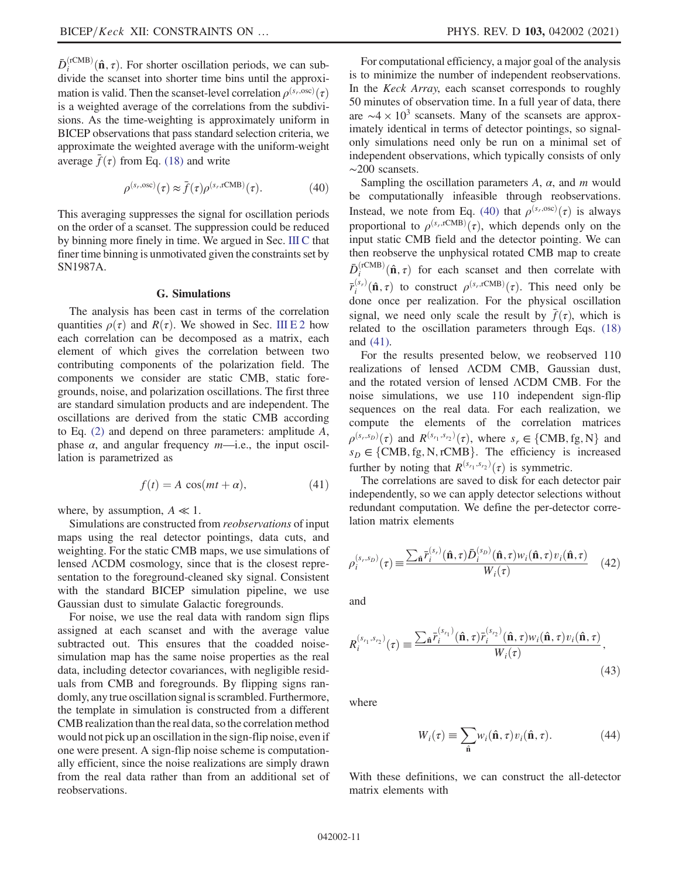$\bar{D}_i^{\text{(rCMB)}}(\hat{\mathbf{n}}, \tau)$ . For shorter oscillation periods, we can sub-<br>divide the scanset into shorter time bins until the approxidivide the scanset into shorter time bins until the approximation is valid. Then the scanset-level correlation  $\rho^{(s_r, osc)}(\tau)$ <br>is a weighted average of the correlations from the subdiviis a weighted average of the correlations from the subdivisions. As the time-weighting is approximately uniform in BICEP observations that pass standard selection criteria, we approximate the weighted average with the uniform-weight average  $f(\tau)$  from Eq. [\(18\)](#page-6-3) and write

$$
\rho^{(s_r, \text{osc})}(\tau) \approx \bar{f}(\tau) \rho^{(s_r, \text{rCMB})}(\tau). \tag{40}
$$

<span id="page-10-1"></span>This averaging suppresses the signal for oscillation periods on the order of a scanset. The suppression could be reduced by binning more finely in time. We argued in Sec. [III C](#page-5-3) that finer time binning is unmotivated given the constraints set by SN1987A.

### G. Simulations

<span id="page-10-0"></span>The analysis has been cast in terms of the correlation quantities  $\rho(\tau)$  and  $R(\tau)$ . We showed in Sec. [III E 2](#page-8-1) how each correlation can be decomposed as a matrix, each element of which gives the correlation between two contributing components of the polarization field. The components we consider are static CMB, static foregrounds, noise, and polarization oscillations. The first three are standard simulation products and are independent. The oscillations are derived from the static CMB according to Eq.  $(2)$  and depend on three parameters: amplitude A, phase  $\alpha$ , and angular frequency  $m$ —i.e., the input oscillation is parametrized as

$$
f(t) = A \cos(mt + \alpha), \tag{41}
$$

<span id="page-10-2"></span>where, by assumption,  $A \ll 1$ .

Simulations are constructed from reobservations of input maps using the real detector pointings, data cuts, and weighting. For the static CMB maps, we use simulations of lensed ΛCDM cosmology, since that is the closest representation to the foreground-cleaned sky signal. Consistent with the standard BICEP simulation pipeline, we use Gaussian dust to simulate Galactic foregrounds.

For noise, we use the real data with random sign flips assigned at each scanset and with the average value subtracted out. This ensures that the coadded noisesimulation map has the same noise properties as the real data, including detector covariances, with negligible residuals from CMB and foregrounds. By flipping signs randomly, any true oscillation signal is scrambled. Furthermore, the template in simulation is constructed from a different CMB realization than the real data, so the correlation method would not pick up an oscillation in the sign-flip noise, even if one were present. A sign-flip noise scheme is computationally efficient, since the noise realizations are simply drawn from the real data rather than from an additional set of reobservations.

For computational efficiency, a major goal of the analysis is to minimize the number of independent reobservations. In the Keck Array, each scanset corresponds to roughly 50 minutes of observation time. In a full year of data, there are  $\sim$ 4 × 10<sup>3</sup> scansets. Many of the scansets are approximately identical in terms of detector pointings, so signalonly simulations need only be run on a minimal set of independent observations, which typically consists of only ∼200 scansets.

Sampling the oscillation parameters  $A$ ,  $\alpha$ , and  $m$  would be computationally infeasible through reobservations. Instead, we note from Eq. [\(40\)](#page-10-1) that  $\rho^{(s_r, \text{osc})}(\tau)$  is always proportional to  $\rho^{(s_r, rCMB)}(\tau)$ , which depends only on the input static CMB field and the detector pointing. We can input static CMB field and the detector pointing. We can then reobserve the unphysical rotated CMB map to create  $\bar{D}_i^{\text{(rCMB)}}(\hat{\mathbf{n}}, \tau)$  for each scanset and then correlate with  $\bar{r}_i^{(s_r)}(\hat{\mathbf{n}}, \tau)$  to construct  $\rho^{(s_r, \text{rCMB})}(\tau)$ . This need only be done once per realization. For the physical oscillation done once per realization. For the physical oscillation signal, we need only scale the result by  $\bar{f}(\tau)$ , which is related to the oscillation parameters through Eqs. [\(18\)](#page-6-3) and [\(41\).](#page-10-2)

For the results presented below, we reobserved 110 realizations of lensed ΛCDM CMB, Gaussian dust, and the rotated version of lensed ΛCDM CMB. For the noise simulations, we use 110 independent sign-flip sequences on the real data. For each realization, we compute the elements of the correlation matrices  $\rho^{(s_r,s_p)}(\tau)$  and  $R^{(s_r,s_p)}(\tau)$ , where  $s_r \in \{CMB, fg, N\}$  and  $s_p \in f_{CMB}$  for N rCMB l. The efficiency is increased  $s_D \in \{CMB, fg, N, rCMB\}$ . The efficiency is increased further by noting that  $R^{(s_{r_1}, s_{r_2})}(\tau)$  is symmetric.<br>The correlations are saved to disk for each de

<span id="page-10-3"></span>The correlations are saved to disk for each detector pair independently, so we can apply detector selections without redundant computation. We define the per-detector correlation matrix elements

$$
\rho_i^{(s_r, s_p)}(\tau) \equiv \frac{\sum_{\hat{\mathbf{n}}} \bar{r}_i^{(s_r)}(\hat{\mathbf{n}}, \tau) \bar{D}_i^{(s_p)}(\hat{\mathbf{n}}, \tau) w_i(\hat{\mathbf{n}}, \tau) v_i(\hat{\mathbf{n}}, \tau)}{W_i(\tau)} \quad (42)
$$

<span id="page-10-4"></span>and

$$
R_i^{(s_{r_1}, s_{r_2})}(\tau) \equiv \frac{\sum_{\hat{\mathbf{n}}} \bar{r}_i^{(s_{r_1})}(\hat{\mathbf{n}}, \tau) \bar{r}_i^{(s_{r_2})}(\hat{\mathbf{n}}, \tau) w_i(\hat{\mathbf{n}}, \tau) v_i(\hat{\mathbf{n}}, \tau)}{W_i(\tau)},
$$
\n(43)

where

$$
W_i(\tau) \equiv \sum_{\hat{\mathbf{n}}} w_i(\hat{\mathbf{n}}, \tau) v_i(\hat{\mathbf{n}}, \tau). \tag{44}
$$

With these definitions, we can construct the all-detector matrix elements with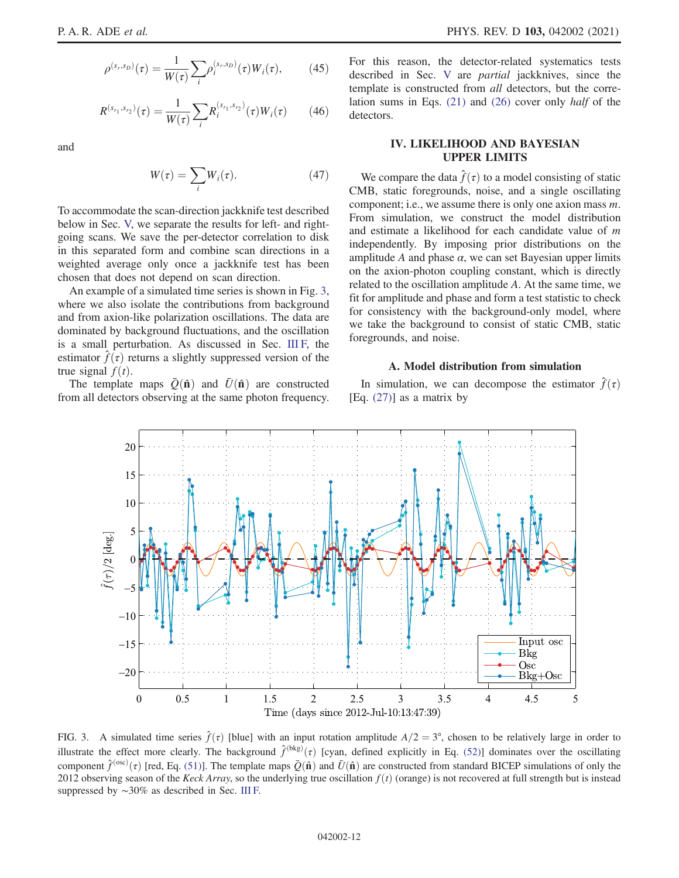$$
\rho^{(s_r,s_D)}(\tau) = \frac{1}{W(\tau)} \sum_i \rho_i^{(s_r,s_D)}(\tau) W_i(\tau),\tag{45}
$$

$$
R^{(s_{r_1}, s_{r_2})}(\tau) = \frac{1}{W(\tau)} \sum_{i} R_i^{(s_{r_1}, s_{r_2})}(\tau) W_i(\tau) \qquad (46)
$$

and

$$
W(\tau) = \sum_{i} W_i(\tau). \tag{47}
$$

To accommodate the scan-direction jackknife test described below in Sec. [V,](#page-14-0) we separate the results for left- and rightgoing scans. We save the per-detector correlation to disk in this separated form and combine scan directions in a weighted average only once a jackknife test has been chosen that does not depend on scan direction.

An example of a simulated time series is shown in Fig. [3](#page-11-2), where we also isolate the contributions from background and from axion-like polarization oscillations. The data are dominated by background fluctuations, and the oscillation is a small perturbation. As discussed in Sec. [III F,](#page-9-0) the estimator  $f(\tau)$  returns a slightly suppressed version of the true signal  $f(t)$ .

The template maps  $\overline{Q}(\hat{\bf n})$  and  $\overline{U}(\hat{\bf n})$  are constructed from all detectors observing at the same photon frequency. For this reason, the detector-related systematics tests described in Sec. [V](#page-14-0) are partial jackknives, since the template is constructed from all detectors, but the correlation sums in Eqs. [\(21\)](#page-6-2) and [\(26\)](#page-7-2) cover only half of the detectors.

### <span id="page-11-0"></span>IV. LIKELIHOOD AND BAYESIAN UPPER LIMITS

We compare the data  $\hat{f}(\tau)$  to a model consisting of static CMB, static foregrounds, noise, and a single oscillating component; i.e., we assume there is only one axion mass m. From simulation, we construct the model distribution and estimate a likelihood for each candidate value of m independently. By imposing prior distributions on the amplitude A and phase  $\alpha$ , we can set Bayesian upper limits on the axion-photon coupling constant, which is directly related to the oscillation amplitude A. At the same time, we fit for amplitude and phase and form a test statistic to check for consistency with the background-only model, where we take the background to consist of static CMB, static foregrounds, and noise.

### A. Model distribution from simulation

<span id="page-11-1"></span>In simulation, we can decompose the estimator  $\hat{f}(\tau)$  $[Eq. (27)]$  $[Eq. (27)]$  as a matrix by

<span id="page-11-2"></span>

FIG. 3. A simulated time series  $\hat{f}(\tau)$  [blue] with an input rotation amplitude  $A/2 = 3^{\circ}$ , chosen to be relatively large in order to illustrate the effect more clearly. The background  $\hat{f}^{(bkg)}(\tau)$  [cyan, defined explicitly in Eq. [\(52\)\]](#page-12-2) dominates over the oscillating<br>comparent  $\hat{\chi}^{(osc)}(\tau)$  for Eq. (51)]. The terministy mans  $\bar{\phi}^{(A)}$  and  $\bar{f}^{($ component  $\hat{f}^{(osc)}(\tau)$  [red, Eq. [\(51\)\]](#page-12-3). The template maps  $\bar{Q}(\hat{\bf{n}})$  and  $\bar{U}(\hat{\bf{n}})$  are constructed from standard BICEP simulations of only the 2012 observing season of the Keck Array so the underlying true osci 2012 observing season of the Keck Array, so the underlying true oscillation  $f(t)$  (orange) is not recovered at full strength but is instead suppressed by ∼30% as described in Sec. [III F.](#page-9-0)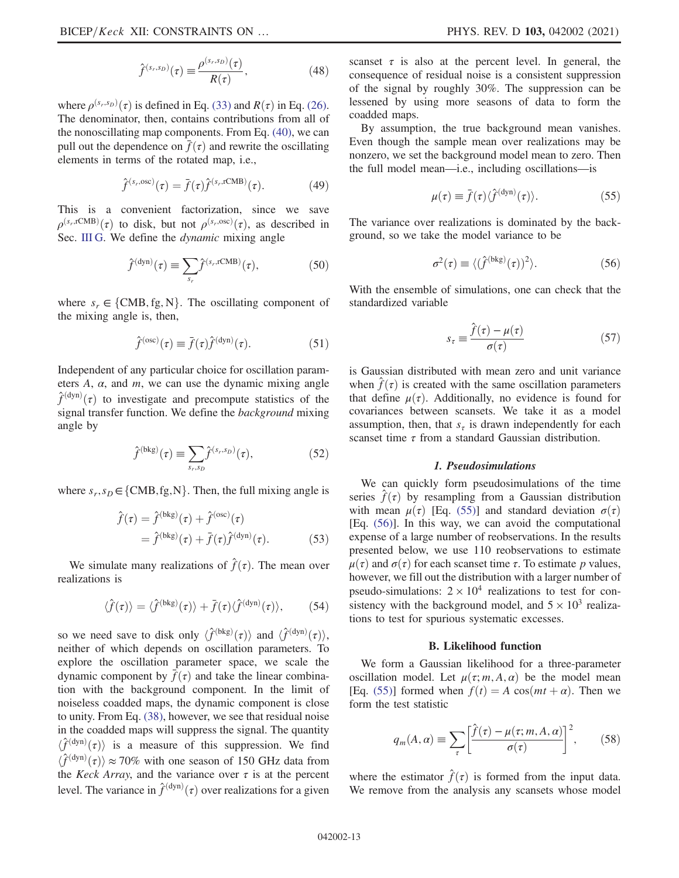$$
\hat{f}^{(s_r,s_D)}(\tau) \equiv \frac{\rho^{(s_r,s_D)}(\tau)}{R(\tau)},
$$
\n(48)

where  $\rho^{(s_r,s_p)}(\tau)$  is defined in Eq. [\(33\)](#page-9-2) and  $R(\tau)$  in Eq. [\(26\)](#page-7-2).<br>The denominator then contains contributions from all of The denominator, then, contains contributions from all of the nonoscillating map components. From Eq. [\(40\),](#page-10-1) we can pull out the dependence on  $\bar{f}(\tau)$  and rewrite the oscillating elements in terms of the rotated map, i.e.,

$$
\hat{f}^{(s_r, \text{osc})}(\tau) = \bar{f}(\tau)\hat{f}^{(s_r, \text{rCMB})}(\tau). \tag{49}
$$

This is a convenient factorization, since we save  $\rho^{(s_r, \text{ICMB})}(\tau)$  to disk, but not  $\rho^{(s_r, \text{osc})}(\tau)$ , as described in Sec. [III G](#page-10-0). We define the *dynamic* mixing angle

$$
\hat{f}^{(\text{dyn})}(\tau) \equiv \sum_{s_r} \hat{f}^{(s_r, \text{rCMB})}(\tau), \tag{50}
$$

<span id="page-12-3"></span>where  $s_r \in \{CMB, fg, N\}$ . The oscillating component of the mixing angle is, then,

$$
\hat{f}^{(\text{osc})}(\tau) \equiv \bar{f}(\tau)\hat{f}^{(\text{dyn})}(\tau). \tag{51}
$$

<span id="page-12-2"></span>Independent of any particular choice for oscillation parameters  $A$ ,  $\alpha$ , and  $m$ , we can use the dynamic mixing angle  $\hat{f}^{(\text{dyn})}(\tau)$  to investigate and precompute statistics of the signal transfer function. We define the *hackground* mixing signal transfer function. We define the background mixing angle by

$$
\hat{f}^{(\text{bkg})}(\tau) \equiv \sum_{s_r, s_D} \hat{f}^{(s_r, s_D)}(\tau), \tag{52}
$$

where  $s_r, s_D \in \{CMB, fg, N\}$ . Then, the full mixing angle is

$$
\hat{f}(\tau) = \hat{f}^{(\text{bkg})}(\tau) + \hat{f}^{(\text{osc})}(\tau) \n= \hat{f}^{(\text{bkg})}(\tau) + \bar{f}(\tau)\hat{f}^{(\text{dyn})}(\tau).
$$
\n(53)

We simulate many realizations of  $\hat{f}(\tau)$ . The mean over realizations is

$$
\langle \hat{f}(\tau) \rangle = \langle \hat{f}^{(\text{bkg})}(\tau) \rangle + \bar{f}(\tau) \langle \hat{f}^{(\text{dyn})}(\tau) \rangle, \qquad (54)
$$

so we need save to disk only  $\langle \hat{f}^{(bkg)}(\tau) \rangle$  and  $\langle \hat{f}^{(dyn)}(\tau) \rangle$ , neither of which depends on oscillation parameters. To neither of which depends on oscillation parameters. To explore the oscillation parameter space, we scale the dynamic component by  $\bar{f}(\tau)$  and take the linear combination with the background component. In the limit of noiseless coadded maps, the dynamic component is close to unity. From Eq. [\(38\),](#page-9-1) however, we see that residual noise in the coadded maps will suppress the signal. The quantity  $\langle \hat{f}^{(\text{dyn})}(\tau) \rangle$  is a measure of this suppression. We find  $\langle \hat{f}^{(\text{dyn})}(\tau) \rangle \approx 70\%$  with an agason of 150 GHz data from  $\langle \hat{f}^{(\text{dyn})}(\tau) \rangle \approx 70\%$  with one season of 150 GHz data from<br>the *Keck Array* and the variance over  $\tau$  is at the percent the *Keck Array*, and the variance over  $\tau$  is at the percent level. The variance in  $\hat{f}^{(\text{dyn})}(\tau)$  over realizations for a given scanset  $\tau$  is also at the percent level. In general, the consequence of residual noise is a consistent suppression of the signal by roughly 30%. The suppression can be lessened by using more seasons of data to form the coadded maps.

<span id="page-12-4"></span>By assumption, the true background mean vanishes. Even though the sample mean over realizations may be nonzero, we set the background model mean to zero. Then the full model mean—i.e., including oscillations—is

$$
\mu(\tau) \equiv \bar{f}(\tau) \langle \hat{f}^{(\text{dyn})}(\tau) \rangle.
$$
 (55)

<span id="page-12-5"></span>The variance over realizations is dominated by the background, so we take the model variance to be

$$
\sigma^2(\tau) \equiv \langle (\hat{f}^{(\text{bkg})}(\tau))^2 \rangle.
$$
 (56)

With the ensemble of simulations, one can check that the standardized variable

$$
s_{\tau} \equiv \frac{\hat{f}(\tau) - \mu(\tau)}{\sigma(\tau)} \tag{57}
$$

is Gaussian distributed with mean zero and unit variance when  $\hat{f}(\tau)$  is created with the same oscillation parameters that define  $\mu(\tau)$ . Additionally, no evidence is found for covariances between scansets. We take it as a model assumption, then, that  $s_{\tau}$  is drawn independently for each scanset time  $\tau$  from a standard Gaussian distribution.

#### 1. Pseudosimulations

<span id="page-12-0"></span>We can quickly form pseudosimulations of the time series  $\hat{f}(\tau)$  by resampling from a Gaussian distribution with mean  $\mu(\tau)$  [Eq. [\(55\)](#page-12-4)] and standard deviation  $\sigma(\tau)$ [Eq. [\(56\)](#page-12-5)]. In this way, we can avoid the computational expense of a large number of reobservations. In the results presented below, we use 110 reobservations to estimate  $\mu(\tau)$  and  $\sigma(\tau)$  for each scanset time  $\tau$ . To estimate p values, however, we fill out the distribution with a larger number of pseudo-simulations:  $2 \times 10^4$  realizations to test for consistency with the background model, and  $5 \times 10^3$  realizations to test for spurious systematic excesses.

#### B. Likelihood function

<span id="page-12-6"></span><span id="page-12-1"></span>We form a Gaussian likelihood for a three-parameter oscillation model. Let  $\mu(\tau; m, A, \alpha)$  be the model mean [Eq. [\(55\)](#page-12-4)] formed when  $f(t) = A \cos(mt + \alpha)$ . Then we form the test statistic

$$
q_m(A,\alpha) \equiv \sum_{\tau} \left[ \frac{\hat{f}(\tau) - \mu(\tau;m,A,\alpha)}{\sigma(\tau)} \right]^2, \qquad (58)
$$

where the estimator  $\hat{f}(\tau)$  is formed from the input data. We remove from the analysis any scansets whose model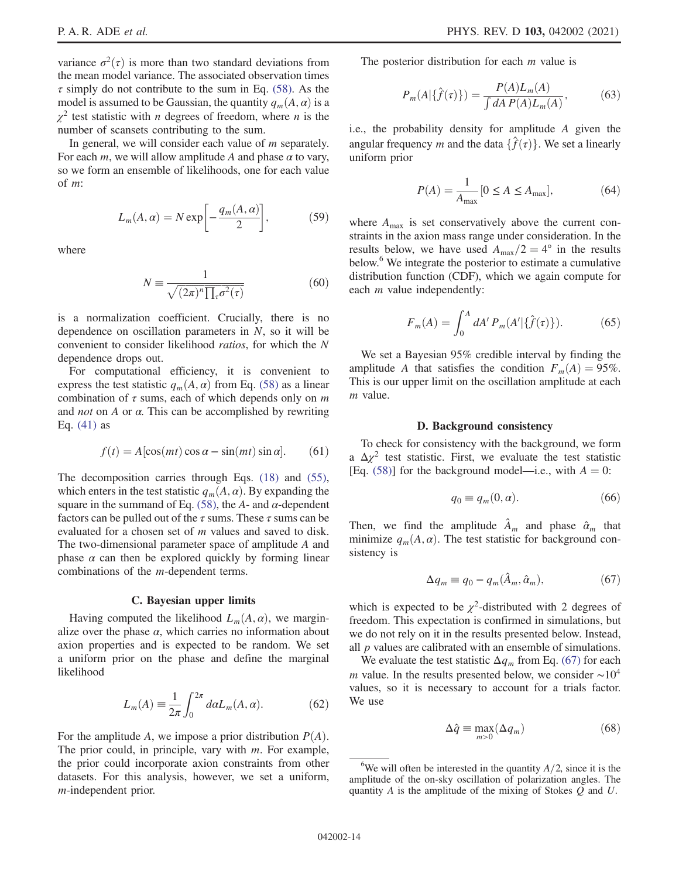variance  $\sigma^2(\tau)$  is more than two standard deviations from the mean model variance. The associated observation times  $\tau$  simply do not contribute to the sum in Eq. [\(58\)](#page-12-6). As the model is assumed to be Gaussian, the quantity  $q_m(A, \alpha)$  is a  $\chi^2$  test statistic with *n* degrees of freedom, where *n* is the number of scansets contributing to the sum.

In general, we will consider each value of  $m$  separately. For each m, we will allow amplitude A and phase  $\alpha$  to vary, so we form an ensemble of likelihoods, one for each value of m:

$$
L_m(A, \alpha) = N \exp\left[-\frac{q_m(A, \alpha)}{2}\right],\tag{59}
$$

where

$$
N \equiv \frac{1}{\sqrt{(2\pi)^n \prod_{\tau} \sigma^2(\tau)}}\tag{60}
$$

is a normalization coefficient. Crucially, there is no dependence on oscillation parameters in  $N$ , so it will be convenient to consider likelihood ratios, for which the N dependence drops out.

For computational efficiency, it is convenient to express the test statistic  $q_m(A, \alpha)$  from Eq. [\(58\)](#page-12-6) as a linear combination of  $\tau$  sums, each of which depends only on m and *not* on A or  $\alpha$ . This can be accomplished by rewriting Eq. [\(41\)](#page-10-2) as

$$
f(t) = A[\cos(mt)\cos\alpha - \sin(mt)\sin\alpha].
$$
 (61)

The decomposition carries through Eqs. [\(18\)](#page-6-3) and [\(55\)](#page-12-4), which enters in the test statistic  $q_m(A, \alpha)$ . By expanding the square in the summand of Eq. [\(58\)](#page-12-6), the A- and  $\alpha$ -dependent factors can be pulled out of the  $\tau$  sums. These  $\tau$  sums can be evaluated for a chosen set of m values and saved to disk. The two-dimensional parameter space of amplitude A and phase  $\alpha$  can then be explored quickly by forming linear combinations of the m-dependent terms.

#### C. Bayesian upper limits

<span id="page-13-0"></span>Having computed the likelihood  $L_m(A, \alpha)$ , we marginalize over the phase  $\alpha$ , which carries no information about axion properties and is expected to be random. We set a uniform prior on the phase and define the marginal likelihood

$$
L_m(A) \equiv \frac{1}{2\pi} \int_0^{2\pi} d\alpha L_m(A, \alpha). \tag{62}
$$

For the amplitude A, we impose a prior distribution  $P(A)$ . The prior could, in principle, vary with  $m$ . For example, the prior could incorporate axion constraints from other datasets. For this analysis, however, we set a uniform, m-independent prior.

The posterior distribution for each  $m$  value is

$$
P_m(A|\{\hat{f}(\tau)\}) = \frac{P(A)L_m(A)}{\int dA P(A)L_m(A)},
$$
(63)

i.e., the probability density for amplitude A given the angular frequency m and the data  $\{\hat{f}(\tau)\}\)$ . We set a linearly uniform prior

$$
P(A) = \frac{1}{A_{\text{max}}} [0 \le A \le A_{\text{max}}],
$$
 (64)

where  $A_{\text{max}}$  is set conservatively above the current constraints in the axion mass range under consideration. In the results below, we have used  $A_{\text{max}}/2 = 4^{\circ}$  in the results below.<sup>6</sup> We integrate the posterior to estimate a cumulative distribution function (CDF), which we again compute for each *m* value independently:

$$
F_m(A) = \int_0^A dA' P_m(A'|\{\hat{f}(\tau)\}). \tag{65}
$$

We set a Bayesian 95% credible interval by finding the amplitude A that satisfies the condition  $F_m(A) = 95\%$ . This is our upper limit on the oscillation amplitude at each m value.

#### D. Background consistency

<span id="page-13-3"></span><span id="page-13-1"></span>To check for consistency with the background, we form a  $\Delta \chi^2$  test statistic. First, we evaluate the test statistic [Eq. [\(58\)\]](#page-12-6) for the background model—i.e., with  $A = 0$ :

$$
q_0 \equiv q_m(0, \alpha). \tag{66}
$$

<span id="page-13-2"></span>Then, we find the amplitude  $\hat{A}_m$  and phase  $\hat{\alpha}_m$  that minimize  $q_m(A, \alpha)$ . The test statistic for background consistency is

$$
\Delta q_m \equiv q_0 - q_m(\hat{A}_m, \hat{\alpha}_m), \tag{67}
$$

which is expected to be  $\chi^2$ -distributed with 2 degrees of freedom. This expectation is confirmed in simulations, but we do not rely on it in the results presented below. Instead, all  $p$  values are calibrated with an ensemble of simulations.

<span id="page-13-4"></span>We evaluate the test statistic  $\Delta q_m$  from Eq. [\(67\)](#page-13-2) for each m value. In the results presented below, we consider  $\sim 10^4$ values, so it is necessary to account for a trials factor. We use

$$
\Delta \hat{q} \equiv \max_{m>0} (\Delta q_m) \tag{68}
$$

<sup>&</sup>lt;sup>6</sup>We will often be interested in the quantity  $A/2$ , since it is the amplitude of the on-sky oscillation of polarization angles. The quantity  $A$  is the amplitude of the mixing of Stokes  $Q$  and  $U$ .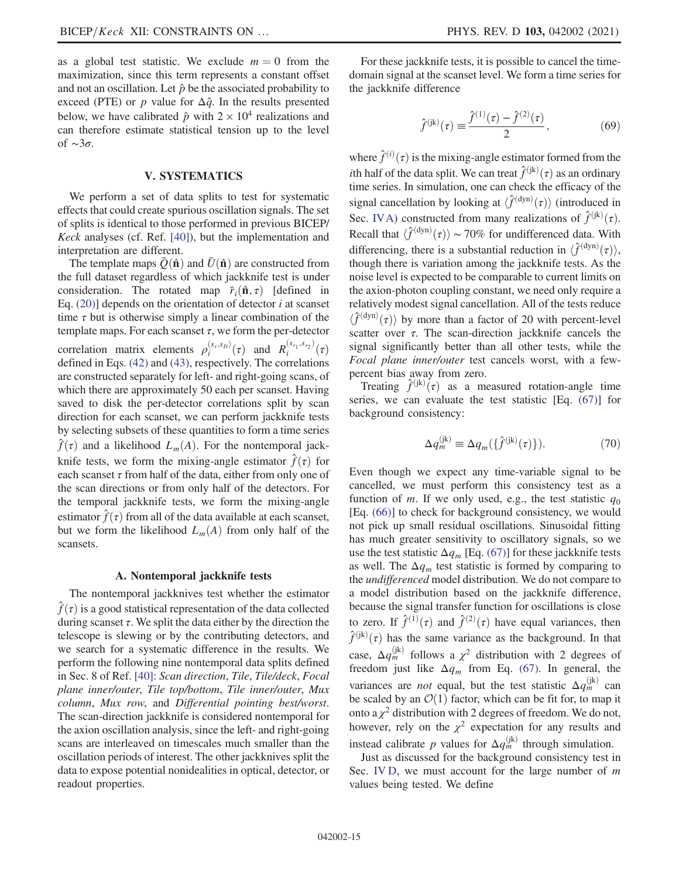as a global test statistic. We exclude  $m = 0$  from the maximization, since this term represents a constant offset and not an oscillation. Let  $\hat{p}$  be the associated probability to exceed (PTE) or p value for  $\Delta \hat{q}$ . In the results presented below, we have calibrated  $\hat{p}$  with  $2 \times 10^4$  realizations and can therefore estimate statistical tension up to the level of  $\sim 3\sigma$ .

## V. SYSTEMATICS

<span id="page-14-0"></span>We perform a set of data splits to test for systematic effects that could create spurious oscillation signals. The set of splits is identical to those performed in previous BICEP/ Keck analyses (cf. Ref. [\[40\]\)](#page-22-19), but the implementation and interpretation are different.

The template maps  $\bar{Q}(\hat{\bf n})$  and  $\bar{U}(\hat{\bf n})$  are constructed from the full dataset regardless of which jackknife test is under consideration. The rotated map  $\bar{r}_i(\hat{\mathbf{n}}, \tau)$  [defined in Eq.  $(20)$ ] depends on the orientation of detector *i* at scanset time  $\tau$  but is otherwise simply a linear combination of the template maps. For each scanset  $\tau$ , we form the per-detector correlation matrix elements  $\rho_i^{(s_r,s_p)}(\tau)$  and  $R_i^{(s_{r_1},s_{r_2})}(\tau)$ <br>defined in Eqs. (42) and (43) respectively. The correlations defined in Eqs. [\(42\)](#page-10-3) and [\(43\),](#page-10-4) respectively. The correlations are constructed separately for left- and right-going scans, of which there are approximately 50 each per scanset. Having saved to disk the per-detector correlations split by scan direction for each scanset, we can perform jackknife tests by selecting subsets of these quantities to form a time series  $\hat{f}(\tau)$  and a likelihood  $L_m(A)$ . For the nontemporal jackknife tests, we form the mixing-angle estimator  $\hat{f}(\tau)$  for each scanset  $\tau$  from half of the data, either from only one of the scan directions or from only half of the detectors. For the temporal jackknife tests, we form the mixing-angle estimator  $\hat{f}(\tau)$  from all of the data available at each scanset, but we form the likelihood  $L_m(A)$  from only half of the scansets.

#### A. Nontemporal jackknife tests

<span id="page-14-1"></span>The nontemporal jackknives test whether the estimator  $\hat{f}(\tau)$  is a good statistical representation of the data collected during scanset  $\tau$ . We split the data either by the direction the telescope is slewing or by the contributing detectors, and we search for a systematic difference in the results. We perform the following nine nontemporal data splits defined in Sec. 8 of Ref. [\[40\]](#page-22-19): Scan direction, Tile, Tile/deck, Focal plane inner/outer, Tile top/bottom, Tile inner/outer, Mux column, Mux row, and Differential pointing best/worst. The scan-direction jackknife is considered nontemporal for the axion oscillation analysis, since the left- and right-going scans are interleaved on timescales much smaller than the oscillation periods of interest. The other jackknives split the data to expose potential nonidealities in optical, detector, or readout properties.

For these jackknife tests, it is possible to cancel the timedomain signal at the scanset level. We form a time series for the jackknife difference

$$
\hat{f}^{(\mathrm{jk})}(\tau) \equiv \frac{\hat{f}^{(1)}(\tau) - \hat{f}^{(2)}(\tau)}{2},\tag{69}
$$

where  $\hat{f}^{(i)}(\tau)$  is the mixing-angle estimator formed from the<br>ith helf of the date split. We can treat  $\hat{f}^{(ik)}(\tau)$  as an ordinary *i*th half of the data split. We can treat  $\hat{f}^{(jk)}(\tau)$  as an ordinary time series. In simulation, one can check the efficacy of the time series. In simulation, one can check the efficacy of the signal cancellation by looking at  $\langle \hat{f}^{(\text{dyn})}(\tau) \rangle$  (introduced in Sec. [IVA](#page-11-1)) constructed from many realizations of  $\hat{f}^{(jk)}(\tau)$ .<br>Recall that  $\hat{f}^{(dyn)}(\tau)$ . 70% for undifferenced data. With Recall that  $\langle \hat{f}^{(\text{dyn})}(\tau) \rangle \sim 70\%$  for undifferenced data. With differencing there is a substantial reduction in  $\langle \hat{f}^{(\text{dyn})}(\tau) \rangle$ differencing, there is a substantial reduction in  $\langle \hat{f}^{(\text{dyn})}(\tau) \rangle$ , though there is variation among the jackknife tests. As the though there is variation among the jackknife tests. As the noise level is expected to be comparable to current limits on the axion-photon coupling constant, we need only require a relatively modest signal cancellation. All of the tests reduce  $\langle \hat{f}^{(\text{dyn})}(\tau) \rangle$  by more than a factor of 20 with percent-level<br>scatter over  $\tau$ . The scan-direction jackknife cancels the scatter over  $\tau$ . The scan-direction jackknife cancels the signal significantly better than all other tests, while the Focal plane inner/outer test cancels worst, with a fewpercent bias away from zero.

Treating  $\hat{f}^{(jk)}(\tau)$  as a measured rotation-angle time<br>ries we can evaluate the test statistic [Eq. (67)] for series, we can evaluate the test statistic [Eq. [\(67\)](#page-13-2)] for background consistency:

$$
\Delta q_m^{(\mathrm{jk})} \equiv \Delta q_m(\{\hat{f}^{(\mathrm{jk})}(\tau)\}).\tag{70}
$$

Even though we expect any time-variable signal to be cancelled, we must perform this consistency test as a function of m. If we only used, e.g., the test statistic  $q_0$ [Eq. [\(66\)\]](#page-13-3) to check for background consistency, we would not pick up small residual oscillations. Sinusoidal fitting has much greater sensitivity to oscillatory signals, so we use the test statistic  $\Delta q_m$  [Eq. [\(67\)](#page-13-2)] for these jackknife tests as well. The  $\Delta q_m$  test statistic is formed by comparing to the undifferenced model distribution. We do not compare to a model distribution based on the jackknife difference, because the signal transfer function for oscillations is close to zero. If  $\hat{f}^{(1)}(\tau)$  and  $\hat{f}^{(2)}(\tau)$  have equal variances, then  $\hat{f}^{(ik)}(\tau)$  have the same variance as the hashroomed. In that  $\hat{f}^{(jk)}(\tau)$  has the same variance as the background. In that case,  $\Delta q_m^{(jk)}$  follows a  $\chi^2$  distribution with 2 degrees of freedom just like  $\Delta q_m$  from Eq. [\(67\).](#page-13-2) In general, the variances are *not* equal, but the test statistic  $\Delta q_m^{(jk)}$  can be scaled by an  $\mathcal{O}(1)$  factor, which can be fit for, to map it onto a  $\chi^2$  distribution with 2 degrees of freedom. We do not, however, rely on the  $\chi^2$  expectation for any results and instead calibrate *p* values for  $\Delta q_m^{(jk)}$  through simulation.

<span id="page-14-2"></span>Just as discussed for the background consistency test in Sec. [IV D,](#page-13-1) we must account for the large number of m values being tested. We define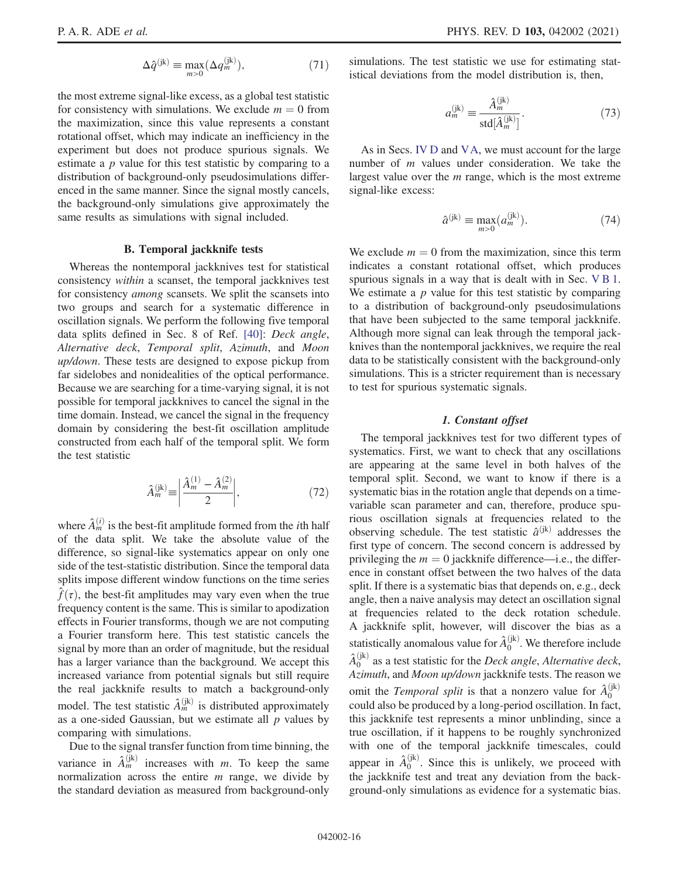$$
\Delta \hat{q}^{(\mathrm{jk})} \equiv \max_{m>0} (\Delta q_m^{(\mathrm{jk})}),\tag{71}
$$

the most extreme signal-like excess, as a global test statistic for consistency with simulations. We exclude  $m = 0$  from the maximization, since this value represents a constant rotational offset, which may indicate an inefficiency in the experiment but does not produce spurious signals. We estimate a *p* value for this test statistic by comparing to a distribution of background-only pseudosimulations differenced in the same manner. Since the signal mostly cancels, the background-only simulations give approximately the same results as simulations with signal included.

## B. Temporal jackknife tests

<span id="page-15-2"></span>Whereas the nontemporal jackknives test for statistical consistency within a scanset, the temporal jackknives test for consistency among scansets. We split the scansets into two groups and search for a systematic difference in oscillation signals. We perform the following five temporal data splits defined in Sec. 8 of Ref. [\[40\]](#page-22-19): Deck angle, Alternative deck, Temporal split, Azimuth, and Moon up/down. These tests are designed to expose pickup from far sidelobes and nonidealities of the optical performance. Because we are searching for a time-varying signal, it is not possible for temporal jackknives to cancel the signal in the time domain. Instead, we cancel the signal in the frequency domain by considering the best-fit oscillation amplitude constructed from each half of the temporal split. We form the test statistic

$$
\hat{A}_{m}^{(\mathrm{jk})} \equiv \left| \frac{\hat{A}_{m}^{(1)} - \hat{A}_{m}^{(2)}}{2} \right|,\tag{72}
$$

<span id="page-15-3"></span>where  $\hat{A}_{m}^{(i)}$  is the best-fit amplitude formed from the *i*th half of the data split. We take the absolute value of the difference, so signal-like systematics appear on only one side of the test-statistic distribution. Since the temporal data splits impose different window functions on the time series  $f(\tau)$ , the best-fit amplitudes may vary even when the true frequency content is the same. This is similar to apodization effects in Fourier transforms, though we are not computing a Fourier transform here. This test statistic cancels the signal by more than an order of magnitude, but the residual has a larger variance than the background. We accept this increased variance from potential signals but still require the real jackknife results to match a background-only model. The test statistic  $\hat{A}_m^{(jk)}$  is distributed approximately as a one-sided Gaussian, but we estimate all  $p$  values by comparing with simulations.

Due to the signal transfer function from time binning, the variance in  $\hat{A}_m^{(jk)}$  increases with m. To keep the same normalization across the entire  $m$  range, we divide by the standard deviation as measured from background-only simulations. The test statistic we use for estimating statistical deviations from the model distribution is, then,

$$
a_m^{(jk)} \equiv \frac{\hat{A}_m^{(jk)}}{\text{std}[\hat{A}_m^{(jk)}]}.
$$
 (73)

<span id="page-15-1"></span>As in Secs. [IV D](#page-13-1) and [VA,](#page-14-1) we must account for the large number of *m* values under consideration. We take the largest value over the  $m$  range, which is the most extreme signal-like excess:

$$
\hat{a}^{(jk)} \equiv \max_{m>0} (a_m^{(jk)}). \tag{74}
$$

We exclude  $m = 0$  from the maximization, since this term indicates a constant rotational offset, which produces spurious signals in a way that is dealt with in Sec. [VB1](#page-15-0). We estimate a  $p$  value for this test statistic by comparing to a distribution of background-only pseudosimulations that have been subjected to the same temporal jackknife. Although more signal can leak through the temporal jackknives than the nontemporal jackknives, we require the real data to be statistically consistent with the background-only simulations. This is a stricter requirement than is necessary to test for spurious systematic signals.

### 1. Constant offset

<span id="page-15-0"></span>The temporal jackknives test for two different types of systematics. First, we want to check that any oscillations are appearing at the same level in both halves of the temporal split. Second, we want to know if there is a systematic bias in the rotation angle that depends on a timevariable scan parameter and can, therefore, produce spurious oscillation signals at frequencies related to the observing schedule. The test statistic  $\hat{a}^{(jk)}$  addresses the first type of concern. The second concern is addressed by privileging the  $m = 0$  jackknife difference—i.e., the difference in constant offset between the two halves of the data split. If there is a systematic bias that depends on, e.g., deck angle, then a naive analysis may detect an oscillation signal at frequencies related to the deck rotation schedule. A jackknife split, however, will discover the bias as a statistically anomalous value for  $\hat{A}_0^{(jk)}$ . We therefore include  $\hat{A}_0^{(\text{jk})}$  as a test statistic for the *Deck angle*, Alternative deck, Azimuth, and Moon up/down jackknife tests. The reason we omit the *Temporal split* is that a nonzero value for  $\hat{A}_0^{(jk)}$ could also be produced by a long-period oscillation. In fact, this jackknife test represents a minor unblinding, since a true oscillation, if it happens to be roughly synchronized with one of the temporal jackknife timescales, could appear in  $\hat{A}_0^{(jk)}$ . Since this is unlikely, we proceed with the jackknife test and treat any deviation from the background-only simulations as evidence for a systematic bias.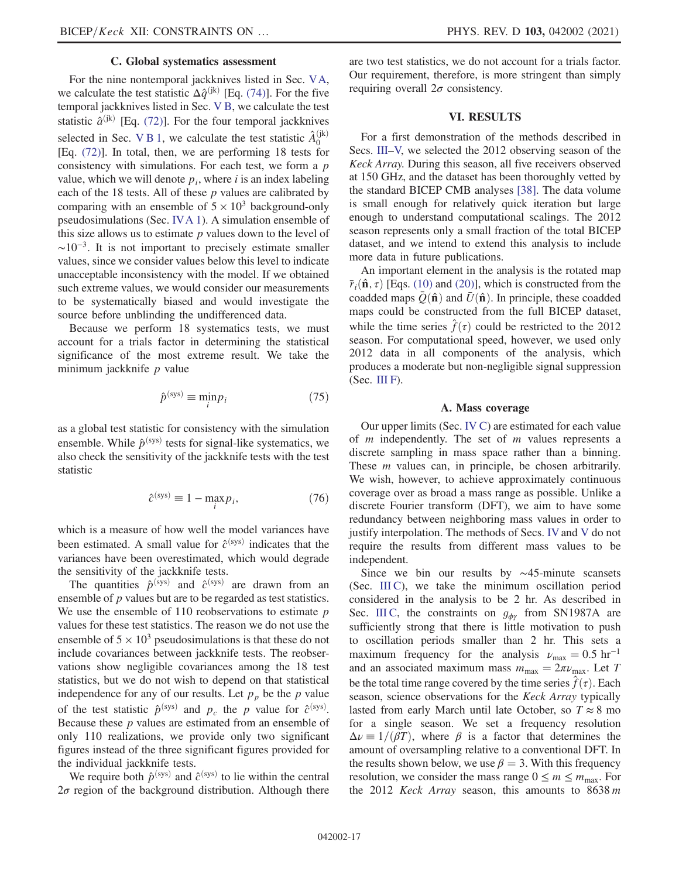### C. Global systematics assessment

For the nine nontemporal jackknives listed in Sec. [VA](#page-14-1), we calculate the test statistic  $\Delta \hat{q}^{(jk)}$  [Eq. [\(74\)\]](#page-15-1). For the five temporal jackknives listed in Sec. [V B](#page-15-2), we calculate the test statistic  $\hat{a}^{(jk)}$  [Eq. [\(72\)](#page-15-3)]. For the four temporal jackknives selected in Sec. V B 1, we calculate the test statistic  $\hat{A}_0^{(jk)}$ [Eq. [\(72\)](#page-15-3)]. In total, then, we are performing 18 tests for consistency with simulations. For each test, we form a  $p$ value, which we will denote  $p_i$ , where i is an index labeling each of the 18 tests. All of these  $p$  values are calibrated by comparing with an ensemble of  $5 \times 10^3$  background-only pseudosimulations (Sec. [IVA 1\)](#page-12-0). A simulation ensemble of this size allows us to estimate  $p$  values down to the level of  $\sim 10^{-3}$ . It is not important to precisely estimate smaller values, since we consider values below this level to indicate unacceptable inconsistency with the model. If we obtained such extreme values, we would consider our measurements to be systematically biased and would investigate the source before unblinding the undifferenced data.

<span id="page-16-2"></span>Because we perform 18 systematics tests, we must account for a trials factor in determining the statistical significance of the most extreme result. We take the minimum jackknife  $p$  value

$$
\hat{p}^{\text{(sys)}} \equiv \min_{i} p_i \tag{75}
$$

<span id="page-16-1"></span>as a global test statistic for consistency with the simulation ensemble. While  $\hat{p}^{\text{(sys)}}$  tests for signal-like systematics, we also check the sensitivity of the jackknife tests with the test statistic

$$
\hat{c}^{\text{(sys)}} \equiv 1 - \max_{i} p_i,\tag{76}
$$

which is a measure of how well the model variances have been estimated. A small value for  $\hat{c}^{(sys)}$  indicates that the variances have been overestimated, which would degrade the sensitivity of the jackknife tests.

The quantities  $\hat{p}^{\text{(sys)}}$  and  $\hat{c}^{\text{(sys)}}$  are drawn from an ensemble of *p* values but are to be regarded as test statistics. We use the ensemble of 110 reobservations to estimate  $p$ values for these test statistics. The reason we do not use the ensemble of  $5 \times 10^3$  pseudosimulations is that these do not include covariances between jackknife tests. The reobservations show negligible covariances among the 18 test statistics, but we do not wish to depend on that statistical independence for any of our results. Let  $p_p$  be the p value of the test statistic  $\hat{p}^{\text{(sys)}}$  and  $p_c$  the p value for  $\hat{c}^{\text{(sys)}}$ . Because these p values are estimated from an ensemble of only 110 realizations, we provide only two significant figures instead of the three significant figures provided for the individual jackknife tests.

We require both  $\hat{p}^{\text{(sys)}}$  and  $\hat{c}^{\text{(sys)}}$  to lie within the central  $2\sigma$  region of the background distribution. Although there are two test statistics, we do not account for a trials factor. Our requirement, therefore, is more stringent than simply requiring overall  $2\sigma$  consistency.

### VI. RESULTS

<span id="page-16-0"></span>For a first demonstration of the methods described in Secs. [III](#page-4-1)–[V,](#page-14-0) we selected the 2012 observing season of the Keck Array. During this season, all five receivers observed at 150 GHz, and the dataset has been thoroughly vetted by the standard BICEP CMB analyses [\[38\].](#page-22-17) The data volume is small enough for relatively quick iteration but large enough to understand computational scalings. The 2012 season represents only a small fraction of the total BICEP dataset, and we intend to extend this analysis to include more data in future publications.

An important element in the analysis is the rotated map  $\bar{r}_i(\hat{\mathbf{n}}, \tau)$  [Eqs. [\(10\)](#page-5-1) and [\(20\)\]](#page-6-4), which is constructed from the coadded maps  $Q(\hat{\bf n})$  and  $\bar{U}(\hat{\bf n})$ . In principle, these coadded maps could be constructed from the full BICEP dataset, while the time series  $\hat{f}(\tau)$  could be restricted to the 2012 season. For computational speed, however, we used only 2012 data in all components of the analysis, which produces a moderate but non-negligible signal suppression  $(Sec. III F).$  $(Sec. III F).$  $(Sec. III F).$ 

### A. Mass coverage

Our upper limits (Sec. [IV C](#page-13-0)) are estimated for each value of  $m$  independently. The set of  $m$  values represents a discrete sampling in mass space rather than a binning. These *m* values can, in principle, be chosen arbitrarily. We wish, however, to achieve approximately continuous coverage over as broad a mass range as possible. Unlike a discrete Fourier transform (DFT), we aim to have some redundancy between neighboring mass values in order to justify interpolation. The methods of Secs. [IV](#page-11-0)and [V](#page-14-0) do not require the results from different mass values to be independent.

Since we bin our results by ∼45-minute scansets (Sec. [III C\)](#page-5-3), we take the minimum oscillation period considered in the analysis to be 2 hr. As described in Sec. [III C](#page-5-3), the constraints on  $g_{\phi\gamma}$  from SN1987A are sufficiently strong that there is little motivation to push to oscillation periods smaller than 2 hr. This sets a maximum frequency for the analysis  $\nu_{\text{max}} = 0.5 \text{ hr}^{-1}$ and an associated maximum mass  $m_{\text{max}} = 2\pi \nu_{\text{max}}$ . Let T be the total time range covered by the time series  $\hat{f}(\tau)$ . Each season, science observations for the Keck Array typically lasted from early March until late October, so  $T \approx 8$  mo for a single season. We set a frequency resolution  $\Delta \nu \equiv 1/(\beta T)$ , where  $\beta$  is a factor that determines the amount of oversampling relative to a conventional DFT. In the results shown below, we use  $\beta = 3$ . With this frequency resolution, we consider the mass range  $0 \le m \le m_{\text{max}}$ . For the 2012 *Keck Array* season, this amounts to  $8638 m$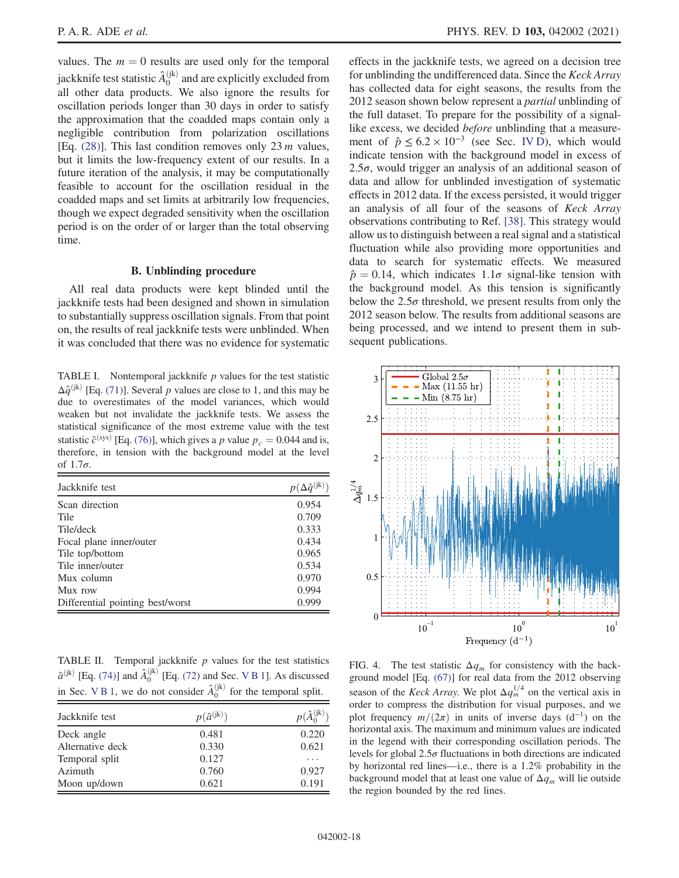values. The  $m = 0$  results are used only for the temporal jackknife test statistic  $\hat{A}_0^{(\mathrm{jk})}$  and are explicitly excluded from all other data products. We also ignore the results for oscillation periods longer than 30 days in order to satisfy the approximation that the coadded maps contain only a negligible contribution from polarization oscillations [Eq.  $(28)$ ]. This last condition removes only 23 m values, but it limits the low-frequency extent of our results. In a future iteration of the analysis, it may be computationally feasible to account for the oscillation residual in the coadded maps and set limits at arbitrarily low frequencies, though we expect degraded sensitivity when the oscillation period is on the order of or larger than the total observing time.

### B. Unblinding procedure

<span id="page-17-0"></span>All real data products were kept blinded until the jackknife tests had been designed and shown in simulation to substantially suppress oscillation signals. From that point on, the results of real jackknife tests were unblinded. When it was concluded that there was no evidence for systematic

<span id="page-17-1"></span>TABLE I. Nontemporal jackknife  $p$  values for the test statistic  $\Delta \hat{q}^{(jk)}$  [Eq. [\(71\)](#page-14-2)]. Several p values are close to 1, and this may be due to overestimates of the model variances, which would weaken but not invalidate the jackknife tests. We assess the statistical significance of the most extreme value with the test statistic  $\hat{c}^{\text{(sys)}}$  [Eq. [\(76\)\]](#page-16-1), which gives a p value  $p_c = 0.044$  and is, therefore, in tension with the background model at the level of  $1.7\sigma$ .

| Jackknife test                   | $p(\Delta \hat{q}^{(jk)})$ |
|----------------------------------|----------------------------|
| Scan direction                   | 0.954                      |
| Tile                             | 0.709                      |
| Tile/deck                        | 0.333                      |
| Focal plane inner/outer          | 0.434                      |
| Tile top/bottom                  | 0.965                      |
| Tile inner/outer                 | 0.534                      |
| Mux column                       | 0.970                      |
| Mux row                          | 0.994                      |
| Differential pointing best/worst | 0.999                      |

<span id="page-17-2"></span>TABLE II. Temporal jackknife  $p$  values for the test statistics  $\hat{a}^{(jk)}$  [Eq. [\(74\)\]](#page-15-1) and  $\hat{A}_0^{(jk)}$  [Eq. [\(72\)](#page-15-3) and Sec. V B 1]. As discussed in Sec. V B 1, we do not consider  $\hat{A}_0^{(jk)}$  for the temporal split.

| Jackknife test   | $p(\hat{a}^{(jk)})$ | $p(\hat{A}_0^{(jk)})$ |
|------------------|---------------------|-----------------------|
| Deck angle       | 0.481               | 0.220                 |
| Alternative deck | 0.330               | 0.621                 |
| Temporal split   | 0.127               |                       |
| Azimuth          | 0.760               | 0.927                 |
| Moon up/down     | 0.621               | 0.191                 |

effects in the jackknife tests, we agreed on a decision tree for unblinding the undifferenced data. Since the Keck Array has collected data for eight seasons, the results from the 2012 season shown below represent a partial unblinding of the full dataset. To prepare for the possibility of a signallike excess, we decided *before* unblinding that a measurement of  $\hat{p} \leq 6.2 \times 10^{-3}$  (see Sec. [IV D](#page-13-1)), which would indicate tension with the background model in excess of 2.5 $\sigma$ , would trigger an analysis of an additional season of data and allow for unblinded investigation of systematic effects in 2012 data. If the excess persisted, it would trigger an analysis of all four of the seasons of Keck Array observations contributing to Ref. [\[38\].](#page-22-17) This strategy would allow us to distinguish between a real signal and a statistical fluctuation while also providing more opportunities and data to search for systematic effects. We measured  $\hat{p} = 0.14$ , which indicates  $1.1\sigma$  signal-like tension with the background model. As this tension is significantly below the  $2.5\sigma$  threshold, we present results from only the 2012 season below. The results from additional seasons are being processed, and we intend to present them in subsequent publications.

<span id="page-17-3"></span>

FIG. 4. The test statistic  $\Delta q_m$  for consistency with the background model [Eq. [\(67\)](#page-13-2)] for real data from the 2012 observing season of the Keck Array. We plot  $\Delta q_m^{1/4}$  on the vertical axis in order to compress the distribution for visual purposes, and we plot frequency  $m/(2\pi)$  in units of inverse days (d<sup>-1</sup>) on the horizontal axis. The maximum and minimum values are indicated in the legend with their corresponding oscillation periods. The levels for global  $2.5\sigma$  fluctuations in both directions are indicated by horizontal red lines—i.e., there is a 1.2% probability in the background model that at least one value of  $\Delta q_m$  will lie outside the region bounded by the red lines.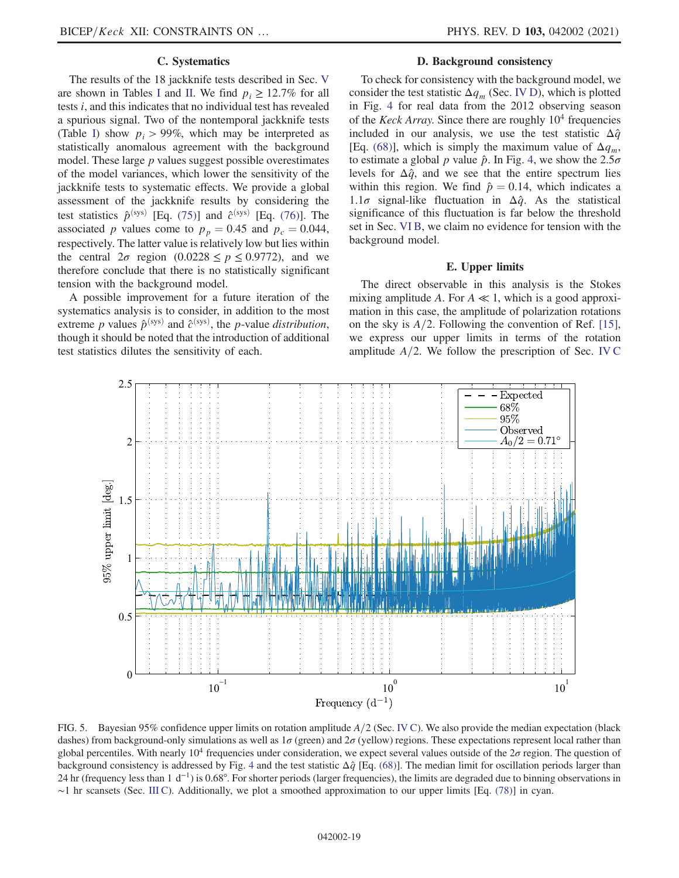### C. Systematics

The results of the 18 jackknife tests described in Sec. [V](#page-14-0) are shown in Tables [I](#page-17-1) and [II](#page-17-2). We find  $p_i > 12.7\%$  for all tests i, and this indicates that no individual test has revealed a spurious signal. Two of the nontemporal jackknife tests (Table [I\)](#page-17-1) show  $p_i > 99\%$ , which may be interpreted as statistically anomalous agreement with the background model. These large p values suggest possible overestimates of the model variances, which lower the sensitivity of the jackknife tests to systematic effects. We provide a global assessment of the jackknife results by considering the test statistics  $\hat{p}^{\text{(sys)}}$  [Eq. [\(75\)](#page-16-2)] and  $\hat{c}^{\text{(sys)}}$  [Eq. [\(76\)](#page-16-1)]. The associated p values come to  $p_p = 0.45$  and  $p_c = 0.044$ , respectively. The latter value is relatively low but lies within the central  $2\sigma$  region  $(0.0228 \le p \le 0.9772)$ , and we therefore conclude that there is no statistically significant tension with the background model.

A possible improvement for a future iteration of the systematics analysis is to consider, in addition to the most extreme p values  $\hat{p}^{(\text{sys})}$  and  $\hat{c}^{(\text{sys})}$ , the p-value distribution, though it should be noted that the introduction of additional test statistics dilutes the sensitivity of each.

### D. Background consistency

To check for consistency with the background model, we consider the test statistic  $\Delta q_m$  (Sec. [IV D](#page-13-1)), which is plotted in Fig. [4](#page-17-3) for real data from the 2012 observing season of the *Keck Array*. Since there are roughly  $10<sup>4</sup>$  frequencies included in our analysis, we use the test statistic  $\Delta \hat{q}$ [Eq. [\(68\)\]](#page-13-4), which is simply the maximum value of  $\Delta q_m$ , to estimate a global p value  $\hat{p}$ . In Fig. [4](#page-17-3), we show the 2.5 $\sigma$ levels for  $\Delta \hat{q}$ , and we see that the entire spectrum lies within this region. We find  $\hat{p} = 0.14$ , which indicates a 1.1 $\sigma$  signal-like fluctuation in  $\Delta \hat{q}$ . As the statistical significance of this fluctuation is far below the threshold set in Sec. [VI B](#page-17-0), we claim no evidence for tension with the background model.

#### E. Upper limits

<span id="page-18-0"></span>The direct observable in this analysis is the Stokes mixing amplitude A. For  $A \ll 1$ , which is a good approximation in this case, the amplitude of polarization rotations on the sky is  $A/2$ . Following the convention of Ref. [\[15\]](#page-21-4), we express our upper limits in terms of the rotation amplitude  $A/2$ . We follow the prescription of Sec. [IV C](#page-13-0)

<span id="page-18-1"></span>

FIG. 5. Bayesian 95% confidence upper limits on rotation amplitude  $A/2$  (Sec. [IV C](#page-13-0)). We also provide the median expectation (black dashes) from background-only simulations as well as  $1\sigma$  (green) and  $2\sigma$  (yellow) regions. These expectations represent local rather than global percentiles. With nearly  $10^4$  frequencies under consideration, we expect several values outside of the  $2\sigma$  region. The question of background consistency is addressed by Fig. [4](#page-17-3) and the test statistic  $\Delta \hat{q}$  [Eq. [\(68\)\]](#page-13-4). The median limit for oscillation periods larger than 24 hr (frequency less than 1 d<sup>-1</sup>) is 0.68°. For shorter periods (larger frequencies), the limits are degraded due to binning observations in ∼1 hr scansets (Sec. [III C\)](#page-5-3). Additionally, we plot a smoothed approximation to our upper limits [Eq. [\(78\)](#page-19-1)] in cyan.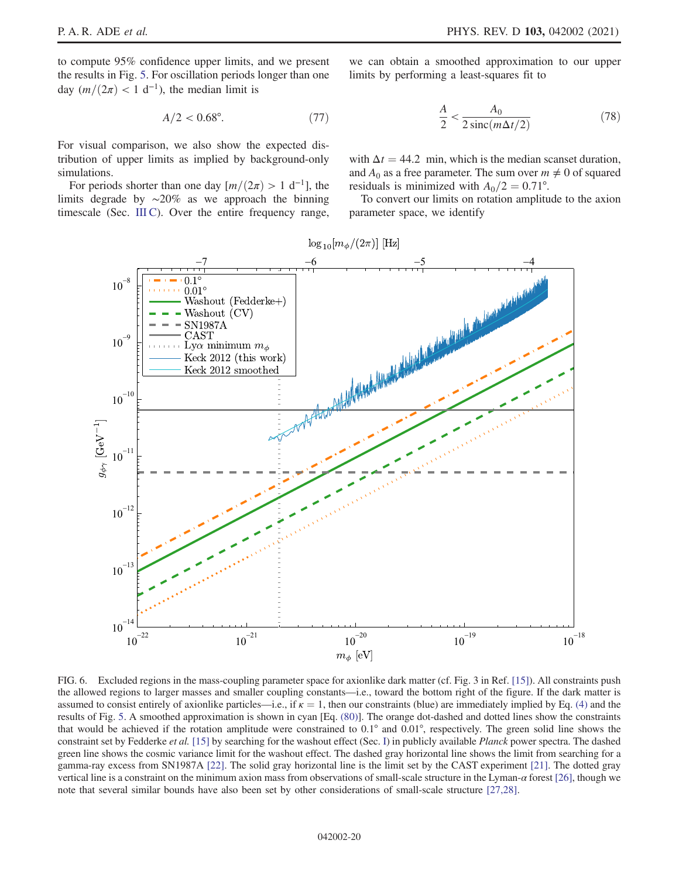<span id="page-19-3"></span>to compute 95% confidence upper limits, and we present the results in Fig. [5.](#page-18-1) For oscillation periods longer than one day  $(m/(2\pi) < 1 \text{ d}^{-1})$ , the median limit is

$$
A/2 < 0.68^{\circ}.\tag{77}
$$

For visual comparison, we also show the expected distribution of upper limits as implied by background-only simulations.

For periods shorter than one day  $[m/(2\pi) > 1 \text{ d}^{-1}]$ , the limits degrade by ∼20% as we approach the binning timescale (Sec. [III C](#page-5-3)). Over the entire frequency range,

<span id="page-19-1"></span>we can obtain a smoothed approximation to our upper limits by performing a least-squares fit to

$$
\frac{A}{2} < \frac{A_0}{2\operatorname{sinc}(m\Delta t/2)}\tag{78}
$$

with  $\Delta t = 44.2$  min, which is the median scanset duration, and  $A_0$  as a free parameter. The sum over  $m \neq 0$  of squared residuals is minimized with  $A_0/2 = 0.71$ °.

<span id="page-19-2"></span>To convert our limits on rotation amplitude to the axion parameter space, we identify

<span id="page-19-0"></span>

FIG. 6. Excluded regions in the mass-coupling parameter space for axionlike dark matter (cf. Fig. 3 in Ref. [\[15\]](#page-21-4)). All constraints push the allowed regions to larger masses and smaller coupling constants—i.e., toward the bottom right of the figure. If the dark matter is assumed to consist entirely of axionlike particles—i.e., if  $\kappa = 1$ , then our constraints (blue) are immediately implied by Eq. [\(4\)](#page-2-2) and the results of Fig. [5.](#page-18-1) A smoothed approximation is shown in cyan [Eq. [\(80\)\]](#page-20-1). The orange dot-dashed and dotted lines show the constraints that would be achieved if the rotation amplitude were constrained to 0.1° and 0.01°, respectively. The green solid line shows the constraint set by Fedderke et al. [\[15\]](#page-21-4) by searching for the washout effect (Sec. [I\)](#page-1-0) in publicly available Planck power spectra. The dashed green line shows the cosmic variance limit for the washout effect. The dashed gray horizontal line shows the limit from searching for a gamma-ray excess from SN1987A [\[22\]](#page-22-2). The solid gray horizontal line is the limit set by the CAST experiment [\[21\]](#page-22-1). The dotted gray vertical line is a constraint on the minimum axion mass from observations of small-scale structure in the Lyman-α forest [\[26\]](#page-22-6), though we note that several similar bounds have also been set by other considerations of small-scale structure [\[27,28\].](#page-22-7)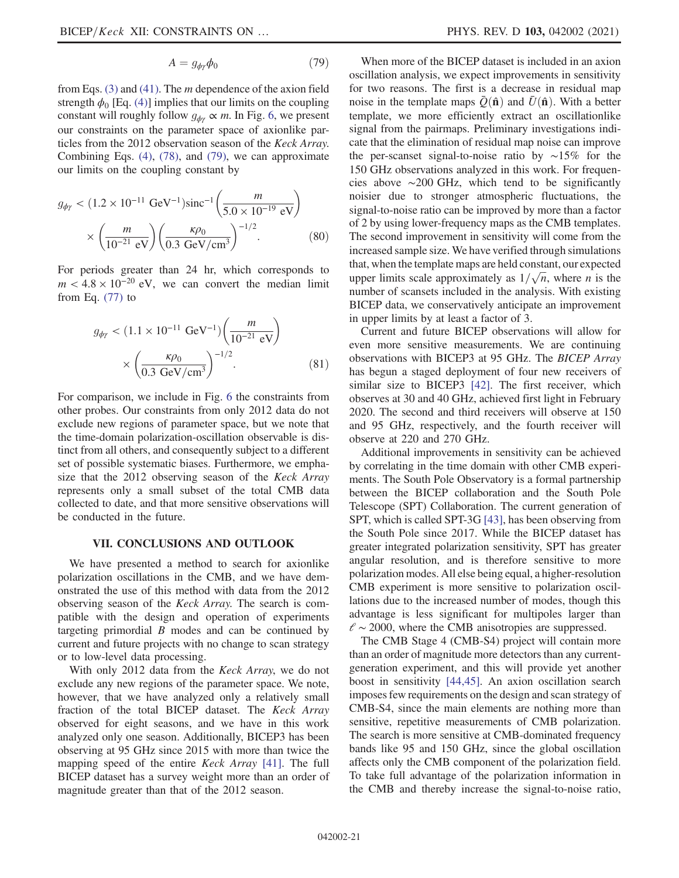$$
A = g_{\phi\gamma}\phi_0 \tag{79}
$$

from Eqs.  $(3)$  and  $(41)$ . The *m* dependence of the axion field strength  $\phi_0$  [Eq. [\(4\)](#page-2-2)] implies that our limits on the coupling constant will roughly follow  $g_{\phi\gamma} \propto m$ . In Fig. [6](#page-19-0), we present our constraints on the parameter space of axionlike particles from the 2012 observation season of the Keck Array. Combining Eqs. [\(4\)](#page-2-2), [\(78\)](#page-19-1), and [\(79\)](#page-19-2), we can approximate our limits on the coupling constant by

<span id="page-20-1"></span>
$$
g_{\phi\gamma} < (1.2 \times 10^{-11} \text{ GeV}^{-1}) \text{sinc}^{-1} \left( \frac{m}{5.0 \times 10^{-19} \text{ eV}} \right) \times \left( \frac{m}{10^{-21} \text{ eV}} \right) \left( \frac{\kappa \rho_0}{0.3 \text{ GeV/cm}^3} \right)^{-1/2} . \tag{80}
$$

For periods greater than 24 hr, which corresponds to  $m < 4.8 \times 10^{-20}$  eV, we can convert the median limit from Eq.  $(77)$  to

$$
g_{\phi\gamma} < (1.1 \times 10^{-11} \text{ GeV}^{-1}) \left(\frac{m}{10^{-21} \text{ eV}}\right) \\
\times \left(\frac{\kappa \rho_0}{0.3 \text{ GeV/cm}^3}\right)^{-1/2}.\n\tag{81}
$$

For comparison, we include in Fig. [6](#page-19-0) the constraints from other probes. Our constraints from only 2012 data do not exclude new regions of parameter space, but we note that the time-domain polarization-oscillation observable is distinct from all others, and consequently subject to a different set of possible systematic biases. Furthermore, we emphasize that the 2012 observing season of the Keck Array represents only a small subset of the total CMB data collected to date, and that more sensitive observations will be conducted in the future.

#### VII. CONCLUSIONS AND OUTLOOK

<span id="page-20-0"></span>We have presented a method to search for axionlike polarization oscillations in the CMB, and we have demonstrated the use of this method with data from the 2012 observing season of the Keck Array. The search is compatible with the design and operation of experiments targeting primordial  $B$  modes and can be continued by current and future projects with no change to scan strategy or to low-level data processing.

With only 2012 data from the *Keck Array*, we do not exclude any new regions of the parameter space. We note, however, that we have analyzed only a relatively small fraction of the total BICEP dataset. The Keck Array observed for eight seasons, and we have in this work analyzed only one season. Additionally, BICEP3 has been observing at 95 GHz since 2015 with more than twice the mapping speed of the entire Keck Array [\[41\].](#page-22-20) The full BICEP dataset has a survey weight more than an order of magnitude greater than that of the 2012 season.

When more of the BICEP dataset is included in an axion oscillation analysis, we expect improvements in sensitivity for two reasons. The first is a decrease in residual map noise in the template maps  $\bar{Q}(\hat{\bf{n}})$  and  $\bar{U}(\hat{\bf{n}})$ . With a better template, we more efficiently extract an oscillationlike signal from the pairmaps. Preliminary investigations indicate that the elimination of residual map noise can improve the per-scanset signal-to-noise ratio by ∼15% for the 150 GHz observations analyzed in this work. For frequencies above ∼200 GHz, which tend to be significantly noisier due to stronger atmospheric fluctuations, the signal-to-noise ratio can be improved by more than a factor of 2 by using lower-frequency maps as the CMB templates. The second improvement in sensitivity will come from the increased sample size. We have verified through simulations that, when the template maps are held constant, our expected upper limits scale approximately as  $1/\sqrt{n}$ , where *n* is the number of scansets included in the analysis. With existing BICEP data, we conservatively anticipate an improvement in upper limits by at least a factor of 3.

Current and future BICEP observations will allow for even more sensitive measurements. We are continuing observations with BICEP3 at 95 GHz. The BICEP Array has begun a staged deployment of four new receivers of similar size to BICEP3 [\[42\].](#page-22-21) The first receiver, which observes at 30 and 40 GHz, achieved first light in February 2020. The second and third receivers will observe at 150 and 95 GHz, respectively, and the fourth receiver will observe at 220 and 270 GHz.

Additional improvements in sensitivity can be achieved by correlating in the time domain with other CMB experiments. The South Pole Observatory is a formal partnership between the BICEP collaboration and the South Pole Telescope (SPT) Collaboration. The current generation of SPT, which is called SPT-3G [\[43\],](#page-22-22) has been observing from the South Pole since 2017. While the BICEP dataset has greater integrated polarization sensitivity, SPT has greater angular resolution, and is therefore sensitive to more polarization modes. All else being equal, a higher-resolution CMB experiment is more sensitive to polarization oscillations due to the increased number of modes, though this advantage is less significant for multipoles larger than  $\ell$  ∼ 2000, where the CMB anisotropies are suppressed.

The CMB Stage 4 (CMB-S4) project will contain more than an order of magnitude more detectors than any currentgeneration experiment, and this will provide yet another boost in sensitivity [\[44,45\].](#page-22-23) An axion oscillation search imposes few requirements on the design and scan strategy of CMB-S4, since the main elements are nothing more than sensitive, repetitive measurements of CMB polarization. The search is more sensitive at CMB-dominated frequency bands like 95 and 150 GHz, since the global oscillation affects only the CMB component of the polarization field. To take full advantage of the polarization information in the CMB and thereby increase the signal-to-noise ratio,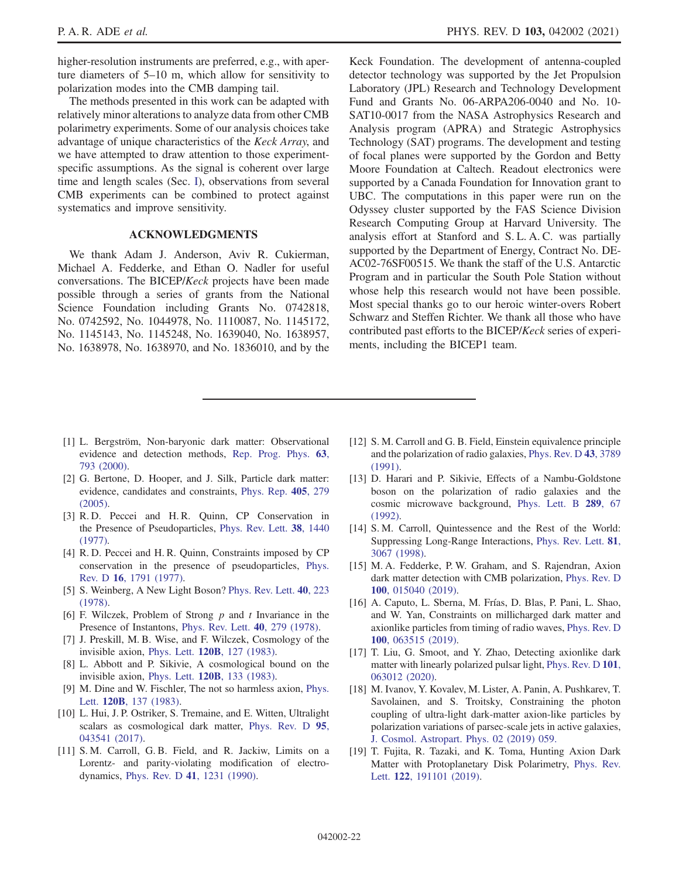higher-resolution instruments are preferred, e.g., with aperture diameters of 5–10 m, which allow for sensitivity to polarization modes into the CMB damping tail.

The methods presented in this work can be adapted with relatively minor alterations to analyze data from other CMB polarimetry experiments. Some of our analysis choices take advantage of unique characteristics of the Keck Array, and we have attempted to draw attention to those experimentspecific assumptions. As the signal is coherent over large time and length scales (Sec. [I\)](#page-1-0), observations from several CMB experiments can be combined to protect against systematics and improve sensitivity.

### ACKNOWLEDGMENTS

We thank Adam J. Anderson, Aviv R. Cukierman, Michael A. Fedderke, and Ethan O. Nadler for useful conversations. The BICEP/Keck projects have been made possible through a series of grants from the National Science Foundation including Grants No. 0742818, No. 0742592, No. 1044978, No. 1110087, No. 1145172, No. 1145143, No. 1145248, No. 1639040, No. 1638957, No. 1638978, No. 1638970, and No. 1836010, and by the Keck Foundation. The development of antenna-coupled detector technology was supported by the Jet Propulsion Laboratory (JPL) Research and Technology Development Fund and Grants No. 06-ARPA206-0040 and No. 10- SAT10-0017 from the NASA Astrophysics Research and Analysis program (APRA) and Strategic Astrophysics Technology (SAT) programs. The development and testing of focal planes were supported by the Gordon and Betty Moore Foundation at Caltech. Readout electronics were supported by a Canada Foundation for Innovation grant to UBC. The computations in this paper were run on the Odyssey cluster supported by the FAS Science Division Research Computing Group at Harvard University. The analysis effort at Stanford and S. L. A. C. was partially supported by the Department of Energy, Contract No. DE-AC02-76SF00515. We thank the staff of the U.S. Antarctic Program and in particular the South Pole Station without whose help this research would not have been possible. Most special thanks go to our heroic winter-overs Robert Schwarz and Steffen Richter. We thank all those who have contributed past efforts to the BICEP/Keck series of experiments, including the BICEP1 team.

- <span id="page-21-0"></span>[1] L. Bergström, Non-baryonic dark matter: Observational evidence and detection methods, [Rep. Prog. Phys.](https://doi.org/10.1088/0034-4885/63/5/2r3) 63, [793 \(2000\)](https://doi.org/10.1088/0034-4885/63/5/2r3).
- [2] G. Bertone, D. Hooper, and J. Silk, Particle dark matter: evidence, candidates and constraints, [Phys. Rep.](https://doi.org/10.1016/j.physrep.2004.08.031) 405, 279 [\(2005\).](https://doi.org/10.1016/j.physrep.2004.08.031)
- <span id="page-21-1"></span>[3] R. D. Peccei and H. R. Quinn, CP Conservation in the Presence of Pseudoparticles, [Phys. Rev. Lett.](https://doi.org/10.1103/PhysRevLett.38.1440) 38, 1440 [\(1977\).](https://doi.org/10.1103/PhysRevLett.38.1440)
- [4] R. D. Peccei and H. R. Quinn, Constraints imposed by CP conservation in the presence of pseudoparticles, [Phys.](https://doi.org/10.1103/PhysRevD.16.1791) Rev. D 16[, 1791 \(1977\).](https://doi.org/10.1103/PhysRevD.16.1791)
- [5] S. Weinberg, A New Light Boson? [Phys. Rev. Lett.](https://doi.org/10.1103/PhysRevLett.40.223) 40, 223 [\(1978\).](https://doi.org/10.1103/PhysRevLett.40.223)
- [6] F. Wilczek, Problem of Strong  $p$  and  $t$  Invariance in the Presence of Instantons, [Phys. Rev. Lett.](https://doi.org/10.1103/PhysRevLett.40.279) 40, 279 (1978).
- [7] J. Preskill, M. B. Wise, and F. Wilczek, Cosmology of the invisible axion, Phys. Lett. 120B[, 127 \(1983\).](https://doi.org/10.1016/0370-2693(83)90637-8)
- [8] L. Abbott and P. Sikivie, A cosmological bound on the invisible axion, Phys. Lett. 120B[, 133 \(1983\).](https://doi.org/10.1016/0370-2693(83)90638-X)
- [9] M. Dine and W. Fischler, The not so harmless axion, [Phys.](https://doi.org/10.1016/0370-2693(83)90639-1) Lett. 120B[, 137 \(1983\).](https://doi.org/10.1016/0370-2693(83)90639-1)
- <span id="page-21-2"></span>[10] L. Hui, J. P. Ostriker, S. Tremaine, and E. Witten, Ultralight scalars as cosmological dark matter, [Phys. Rev. D](https://doi.org/10.1103/PhysRevD.95.043541) 95, [043541 \(2017\).](https://doi.org/10.1103/PhysRevD.95.043541)
- <span id="page-21-3"></span>[11] S. M. Carroll, G. B. Field, and R. Jackiw, Limits on a Lorentz- and parity-violating modification of electrodynamics, Phys. Rev. D 41[, 1231 \(1990\).](https://doi.org/10.1103/PhysRevD.41.1231)
- [12] S. M. Carroll and G. B. Field, Einstein equivalence principle and the polarization of radio galaxies, [Phys. Rev. D](https://doi.org/10.1103/PhysRevD.43.3789) 43, 3789  $(1991)$
- [13] D. Harari and P. Sikivie, Effects of a Nambu-Goldstone boson on the polarization of radio galaxies and the cosmic microwave background, [Phys. Lett. B](https://doi.org/10.1016/0370-2693(92)91363-E) 289, 67 [\(1992\).](https://doi.org/10.1016/0370-2693(92)91363-E)
- [14] S. M. Carroll, Quintessence and the Rest of the World: Suppressing Long-Range Interactions, [Phys. Rev. Lett.](https://doi.org/10.1103/PhysRevLett.81.3067) 81, [3067 \(1998\)](https://doi.org/10.1103/PhysRevLett.81.3067).
- <span id="page-21-4"></span>[15] M. A. Fedderke, P. W. Graham, and S. Rajendran, Axion dark matter detection with CMB polarization, [Phys. Rev. D](https://doi.org/10.1103/PhysRevD.100.015040) 100, [015040 \(2019\).](https://doi.org/10.1103/PhysRevD.100.015040)
- <span id="page-21-5"></span>[16] A. Caputo, L. Sberna, M. Frías, D. Blas, P. Pani, L. Shao, and W. Yan, Constraints on millicharged dark matter and axionlike particles from timing of radio waves, [Phys. Rev. D](https://doi.org/10.1103/PhysRevD.100.063515) 100[, 063515 \(2019\).](https://doi.org/10.1103/PhysRevD.100.063515)
- [17] T. Liu, G. Smoot, and Y. Zhao, Detecting axionlike dark matter with linearly polarized pulsar light, [Phys. Rev. D](https://doi.org/10.1103/PhysRevD.101.063012) 101, [063012 \(2020\).](https://doi.org/10.1103/PhysRevD.101.063012)
- <span id="page-21-6"></span>[18] M. Ivanov, Y. Kovalev, M. Lister, A. Panin, A. Pushkarev, T. Savolainen, and S. Troitsky, Constraining the photon coupling of ultra-light dark-matter axion-like particles by polarization variations of parsec-scale jets in active galaxies, [J. Cosmol. Astropart. Phys. 02 \(2019\) 059.](https://doi.org/10.1088/1475-7516/2019/02/059)
- <span id="page-21-7"></span>[19] T. Fujita, R. Tazaki, and K. Toma, Hunting Axion Dark Matter with Protoplanetary Disk Polarimetry, [Phys. Rev.](https://doi.org/10.1103/PhysRevLett.122.191101) Lett. 122[, 191101 \(2019\)](https://doi.org/10.1103/PhysRevLett.122.191101).